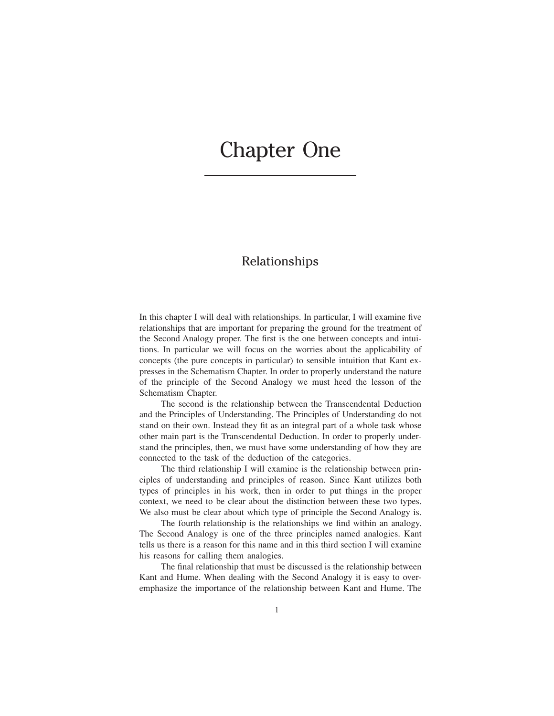# Chapter One

# Relationships

In this chapter I will deal with relationships. In particular, I will examine five relationships that are important for preparing the ground for the treatment of the Second Analogy proper. The first is the one between concepts and intuitions. In particular we will focus on the worries about the applicability of concepts (the pure concepts in particular) to sensible intuition that Kant expresses in the Schematism Chapter. In order to properly understand the nature of the principle of the Second Analogy we must heed the lesson of the Schematism Chapter.

The second is the relationship between the Transcendental Deduction and the Principles of Understanding. The Principles of Understanding do not stand on their own. Instead they fit as an integral part of a whole task whose other main part is the Transcendental Deduction. In order to properly understand the principles, then, we must have some understanding of how they are connected to the task of the deduction of the categories.

The third relationship I will examine is the relationship between principles of understanding and principles of reason. Since Kant utilizes both types of principles in his work, then in order to put things in the proper context, we need to be clear about the distinction between these two types. We also must be clear about which type of principle the Second Analogy is.

The fourth relationship is the relationships we find within an analogy. The Second Analogy is one of the three principles named analogies. Kant tells us there is a reason for this name and in this third section I will examine his reasons for calling them analogies.

The final relationship that must be discussed is the relationship between Kant and Hume. When dealing with the Second Analogy it is easy to overemphasize the importance of the relationship between Kant and Hume. The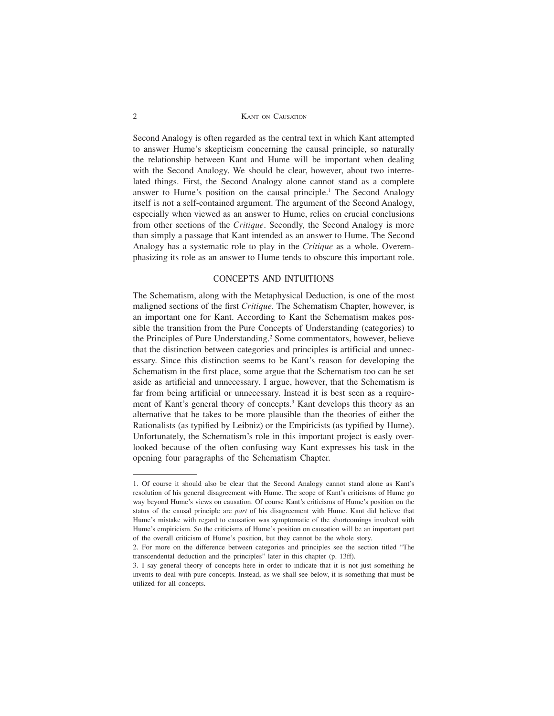Second Analogy is often regarded as the central text in which Kant attempted to answer Hume's skepticism concerning the causal principle, so naturally the relationship between Kant and Hume will be important when dealing with the Second Analogy. We should be clear, however, about two interrelated things. First, the Second Analogy alone cannot stand as a complete answer to Hume's position on the causal principle.<sup>1</sup> The Second Analogy itself is not a self-contained argument. The argument of the Second Analogy, especially when viewed as an answer to Hume, relies on crucial conclusions from other sections of the *Critique*. Secondly, the Second Analogy is more than simply a passage that Kant intended as an answer to Hume. The Second Analogy has a systematic role to play in the *Critique* as a whole. Overemphasizing its role as an answer to Hume tends to obscure this important role.

# CONCEPTS AND INTUITIONS

The Schematism, along with the Metaphysical Deduction, is one of the most maligned sections of the first *Critique*. The Schematism Chapter, however, is an important one for Kant. According to Kant the Schematism makes possible the transition from the Pure Concepts of Understanding (categories) to the Principles of Pure Understanding.2 Some commentators, however, believe that the distinction between categories and principles is artificial and unnecessary. Since this distinction seems to be Kant's reason for developing the Schematism in the first place, some argue that the Schematism too can be set aside as artificial and unnecessary. I argue, however, that the Schematism is far from being artificial or unnecessary. Instead it is best seen as a requirement of Kant's general theory of concepts.3 Kant develops this theory as an alternative that he takes to be more plausible than the theories of either the Rationalists (as typified by Leibniz) or the Empiricists (as typified by Hume). Unfortunately, the Schematism's role in this important project is easly overlooked because of the often confusing way Kant expresses his task in the opening four paragraphs of the Schematism Chapter.

<sup>1.</sup> Of course it should also be clear that the Second Analogy cannot stand alone as Kant's resolution of his general disagreement with Hume. The scope of Kant's criticisms of Hume go way beyond Hume's views on causation. Of course Kant's criticisms of Hume's position on the status of the causal principle are *part* of his disagreement with Hume. Kant did believe that Hume's mistake with regard to causation was symptomatic of the shortcomings involved with Hume's empiricism. So the criticisms of Hume's position on causation will be an important part of the overall criticism of Hume's position, but they cannot be the whole story.

<sup>2.</sup> For more on the difference between categories and principles see the section titled "The transcendental deduction and the principles" later in this chapter (p. 13ff).

<sup>3.</sup> I say general theory of concepts here in order to indicate that it is not just something he invents to deal with pure concepts. Instead, as we shall see below, it is something that must be utilized for all concepts.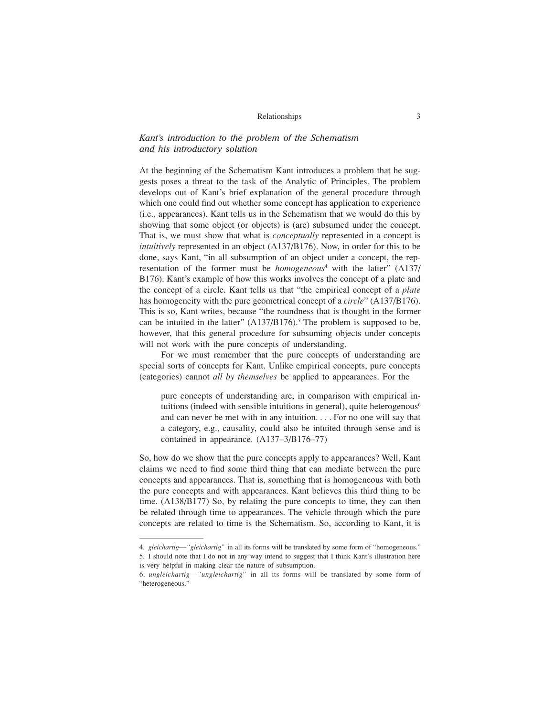# *Kant's introduction to the problem of the Schematism and his introductory solution*

At the beginning of the Schematism Kant introduces a problem that he suggests poses a threat to the task of the Analytic of Principles. The problem develops out of Kant's brief explanation of the general procedure through which one could find out whether some concept has application to experience (i.e., appearances). Kant tells us in the Schematism that we would do this by showing that some object (or objects) is (are) subsumed under the concept. That is, we must show that what is *conceptually* represented in a concept is *intuitively* represented in an object (A137/B176). Now, in order for this to be done, says Kant, "in all subsumption of an object under a concept, the representation of the former must be *homogeneous*<sup>4</sup> with the latter" (A137/ B176). Kant's example of how this works involves the concept of a plate and the concept of a circle. Kant tells us that "the empirical concept of a *plate* has homogeneity with the pure geometrical concept of a *circle*" (A137/B176). This is so, Kant writes, because "the roundness that is thought in the former can be intuited in the latter"  $(A137/B176)$ .<sup>5</sup> The problem is supposed to be, however, that this general procedure for subsuming objects under concepts will not work with the pure concepts of understanding.

For we must remember that the pure concepts of understanding are special sorts of concepts for Kant. Unlike empirical concepts, pure concepts (categories) cannot *all by themselves* be applied to appearances. For the

pure concepts of understanding are, in comparison with empirical intuitions (indeed with sensible intuitions in general), quite heterogenous<sup>6</sup> and can never be met with in any intuition. . . . For no one will say that a category, e.g., causality, could also be intuited through sense and is contained in appearance. (A137–3/B176–77)

So, how do we show that the pure concepts apply to appearances? Well, Kant claims we need to find some third thing that can mediate between the pure concepts and appearances. That is, something that is homogeneous with both the pure concepts and with appearances. Kant believes this third thing to be time. (A138/B177) So, by relating the pure concepts to time, they can then be related through time to appearances. The vehicle through which the pure concepts are related to time is the Schematism. So, according to Kant, it is

<sup>4.</sup> *gleichartig*—*"gleichartig"* in all its forms will be translated by some form of "homogeneous."

<sup>5.</sup> I should note that I do not in any way intend to suggest that I think Kant's illustration here is very helpful in making clear the nature of subsumption.

<sup>6.</sup> *ungleichartig*—*"ungleichartig"* in all its forms will be translated by some form of "heterogeneous."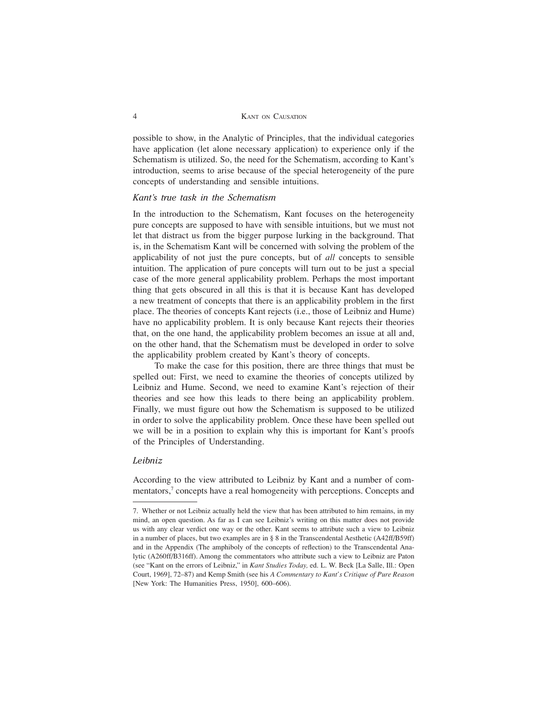possible to show, in the Analytic of Principles, that the individual categories have application (let alone necessary application) to experience only if the Schematism is utilized. So, the need for the Schematism, according to Kant's introduction, seems to arise because of the special heterogeneity of the pure concepts of understanding and sensible intuitions.

# *Kant's true task in the Schematism*

In the introduction to the Schematism, Kant focuses on the heterogeneity pure concepts are supposed to have with sensible intuitions, but we must not let that distract us from the bigger purpose lurking in the background. That is, in the Schematism Kant will be concerned with solving the problem of the applicability of not just the pure concepts, but of *all* concepts to sensible intuition. The application of pure concepts will turn out to be just a special case of the more general applicability problem. Perhaps the most important thing that gets obscured in all this is that it is because Kant has developed a new treatment of concepts that there is an applicability problem in the first place. The theories of concepts Kant rejects (i.e., those of Leibniz and Hume) have no applicability problem. It is only because Kant rejects their theories that, on the one hand, the applicability problem becomes an issue at all and, on the other hand, that the Schematism must be developed in order to solve the applicability problem created by Kant's theory of concepts.

To make the case for this position, there are three things that must be spelled out: First, we need to examine the theories of concepts utilized by Leibniz and Hume. Second, we need to examine Kant's rejection of their theories and see how this leads to there being an applicability problem. Finally, we must figure out how the Schematism is supposed to be utilized in order to solve the applicability problem. Once these have been spelled out we will be in a position to explain why this is important for Kant's proofs of the Principles of Understanding.

# *Leibniz*

According to the view attributed to Leibniz by Kant and a number of commentators,<sup>7</sup> concepts have a real homogeneity with perceptions. Concepts and

<sup>7.</sup> Whether or not Leibniz actually held the view that has been attributed to him remains, in my mind, an open question. As far as I can see Leibniz's writing on this matter does not provide us with any clear verdict one way or the other. Kant seems to attribute such a view to Leibniz in a number of places, but two examples are in § 8 in the Transcendental Aesthetic (A42ff/B59ff) and in the Appendix (The amphiboly of the concepts of reflection) to the Transcendental Analytic (A260ff/B316ff). Among the commentators who attribute such a view to Leibniz are Paton (see "Kant on the errors of Leibniz," in *Kant Studies Today,* ed. L. W. Beck [La Salle, Ill.: Open Court, 1969], 72–87) and Kemp Smith (see his *A Commentary to Kant's Critique of Pure Reason* [New York: The Humanities Press, 1950], 600–606).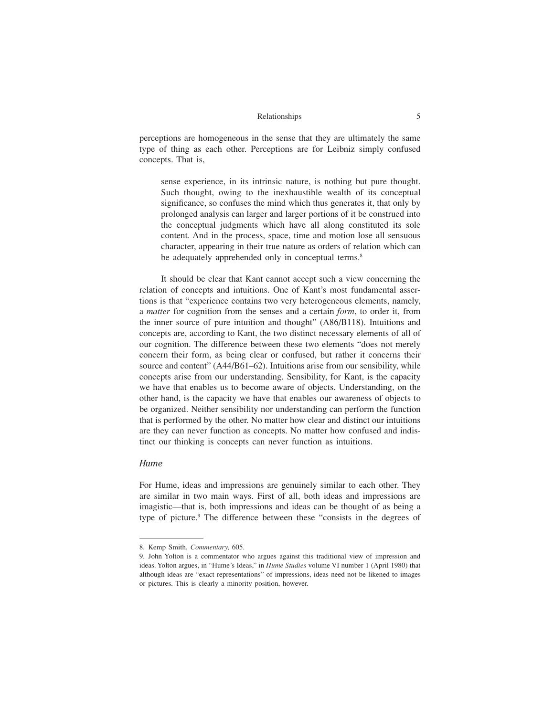perceptions are homogeneous in the sense that they are ultimately the same type of thing as each other. Perceptions are for Leibniz simply confused concepts. That is,

sense experience, in its intrinsic nature, is nothing but pure thought. Such thought, owing to the inexhaustible wealth of its conceptual significance, so confuses the mind which thus generates it, that only by prolonged analysis can larger and larger portions of it be construed into the conceptual judgments which have all along constituted its sole content. And in the process, space, time and motion lose all sensuous character, appearing in their true nature as orders of relation which can be adequately apprehended only in conceptual terms.<sup>8</sup>

It should be clear that Kant cannot accept such a view concerning the relation of concepts and intuitions. One of Kant's most fundamental assertions is that "experience contains two very heterogeneous elements, namely, a *matter* for cognition from the senses and a certain *form*, to order it, from the inner source of pure intuition and thought" (A86/B118). Intuitions and concepts are, according to Kant, the two distinct necessary elements of all of our cognition. The difference between these two elements "does not merely concern their form, as being clear or confused, but rather it concerns their source and content" (A44/B61–62). Intuitions arise from our sensibility, while concepts arise from our understanding. Sensibility, for Kant, is the capacity we have that enables us to become aware of objects. Understanding, on the other hand, is the capacity we have that enables our awareness of objects to be organized. Neither sensibility nor understanding can perform the function that is performed by the other. No matter how clear and distinct our intuitions are they can never function as concepts. No matter how confused and indistinct our thinking is concepts can never function as intuitions.

# *Hume*

For Hume, ideas and impressions are genuinely similar to each other. They are similar in two main ways. First of all, both ideas and impressions are imagistic—that is, both impressions and ideas can be thought of as being a type of picture.<sup>9</sup> The difference between these "consists in the degrees of

<sup>8.</sup> Kemp Smith, *Commentary,* 605.

<sup>9.</sup> John Yolton is a commentator who argues against this traditional view of impression and ideas. Yolton argues, in "Hume's Ideas," in *Hume Studies* volume VI number 1 (April 1980) that although ideas are "exact representations" of impressions, ideas need not be likened to images or pictures. This is clearly a minority position, however.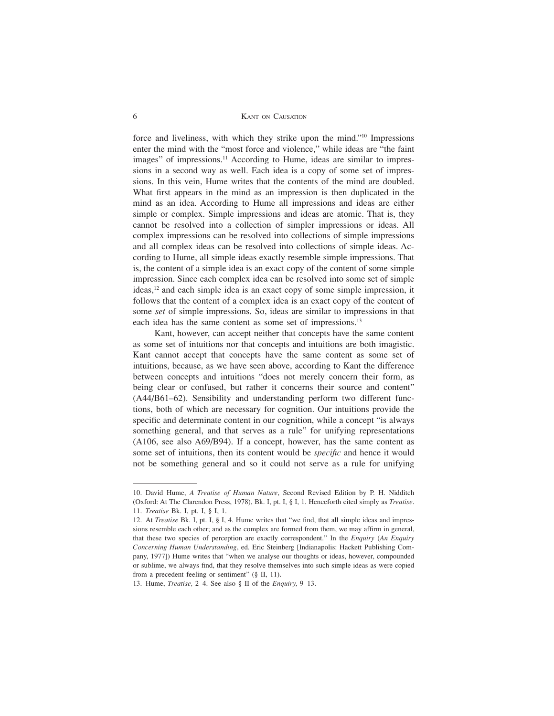force and liveliness, with which they strike upon the mind."10 Impressions enter the mind with the "most force and violence," while ideas are "the faint images" of impressions.<sup>11</sup> According to Hume, ideas are similar to impressions in a second way as well. Each idea is a copy of some set of impressions. In this vein, Hume writes that the contents of the mind are doubled. What first appears in the mind as an impression is then duplicated in the mind as an idea. According to Hume all impressions and ideas are either simple or complex. Simple impressions and ideas are atomic. That is, they cannot be resolved into a collection of simpler impressions or ideas. All complex impressions can be resolved into collections of simple impressions and all complex ideas can be resolved into collections of simple ideas. According to Hume, all simple ideas exactly resemble simple impressions. That is, the content of a simple idea is an exact copy of the content of some simple impression. Since each complex idea can be resolved into some set of simple ideas,12 and each simple idea is an exact copy of some simple impression, it follows that the content of a complex idea is an exact copy of the content of some *set* of simple impressions. So, ideas are similar to impressions in that each idea has the same content as some set of impressions.<sup>13</sup>

Kant, however, can accept neither that concepts have the same content as some set of intuitions nor that concepts and intuitions are both imagistic. Kant cannot accept that concepts have the same content as some set of intuitions, because, as we have seen above, according to Kant the difference between concepts and intuitions "does not merely concern their form, as being clear or confused, but rather it concerns their source and content" (A44/B61–62). Sensibility and understanding perform two different functions, both of which are necessary for cognition. Our intuitions provide the specific and determinate content in our cognition, while a concept "is always something general, and that serves as a rule" for unifying representations (A106, see also A69/B94). If a concept, however, has the same content as some set of intuitions, then its content would be *specific* and hence it would not be something general and so it could not serve as a rule for unifying

<sup>10.</sup> David Hume, *A Treatise of Human Nature*, Second Revised Edition by P. H. Nidditch (Oxford: At The Clarendon Press, 1978), Bk. I, pt. I, § I, 1. Henceforth cited simply as *Treatise*. 11. *Treatise* Bk. I, pt. I, § I, 1.

<sup>12.</sup> At *Treatise* Bk. I, pt. I, § I, 4. Hume writes that "we find, that all simple ideas and impressions resemble each other; and as the complex are formed from them, we may affirm in general, that these two species of perception are exactly correspondent." In the *Enquiry* (*An Enquiry Concerning Human Understanding*, ed. Eric Steinberg [Indianapolis: Hackett Publishing Company, 1977]) Hume writes that "when we analyse our thoughts or ideas, however, compounded or sublime, we always find, that they resolve themselves into such simple ideas as were copied from a precedent feeling or sentiment" (§ II, 11).

<sup>13.</sup> Hume, *Treatise,* 2–4. See also § II of the *Enquiry,* 9–13.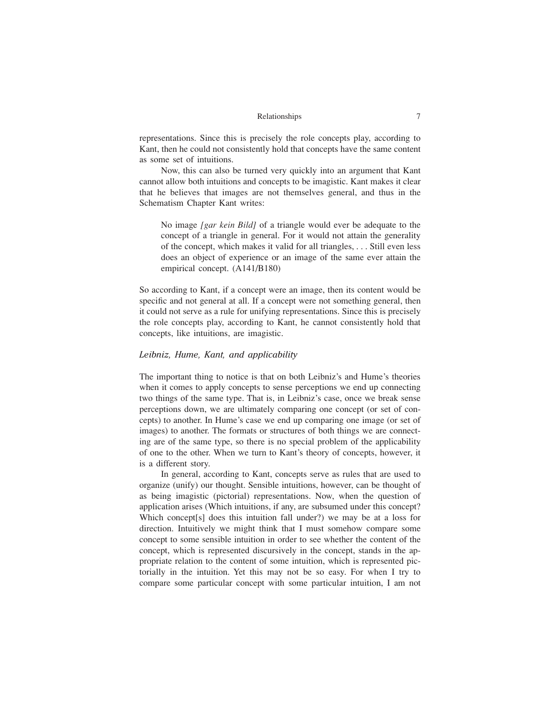representations. Since this is precisely the role concepts play, according to Kant, then he could not consistently hold that concepts have the same content as some set of intuitions.

Now, this can also be turned very quickly into an argument that Kant cannot allow both intuitions and concepts to be imagistic. Kant makes it clear that he believes that images are not themselves general, and thus in the Schematism Chapter Kant writes:

No image *[gar kein Bild]* of a triangle would ever be adequate to the concept of a triangle in general. For it would not attain the generality of the concept, which makes it valid for all triangles, . . . Still even less does an object of experience or an image of the same ever attain the empirical concept. (A141/B180)

So according to Kant, if a concept were an image, then its content would be specific and not general at all. If a concept were not something general, then it could not serve as a rule for unifying representations. Since this is precisely the role concepts play, according to Kant, he cannot consistently hold that concepts, like intuitions, are imagistic.

# *Leibniz, Hume, Kant, and applicability*

The important thing to notice is that on both Leibniz's and Hume's theories when it comes to apply concepts to sense perceptions we end up connecting two things of the same type. That is, in Leibniz's case, once we break sense perceptions down, we are ultimately comparing one concept (or set of concepts) to another. In Hume's case we end up comparing one image (or set of images) to another. The formats or structures of both things we are connecting are of the same type, so there is no special problem of the applicability of one to the other. When we turn to Kant's theory of concepts, however, it is a different story.

In general, according to Kant, concepts serve as rules that are used to organize (unify) our thought. Sensible intuitions, however, can be thought of as being imagistic (pictorial) representations. Now, when the question of application arises (Which intuitions, if any, are subsumed under this concept? Which concept[s] does this intuition fall under?) we may be at a loss for direction. Intuitively we might think that I must somehow compare some concept to some sensible intuition in order to see whether the content of the concept, which is represented discursively in the concept, stands in the appropriate relation to the content of some intuition, which is represented pictorially in the intuition. Yet this may not be so easy. For when I try to compare some particular concept with some particular intuition, I am not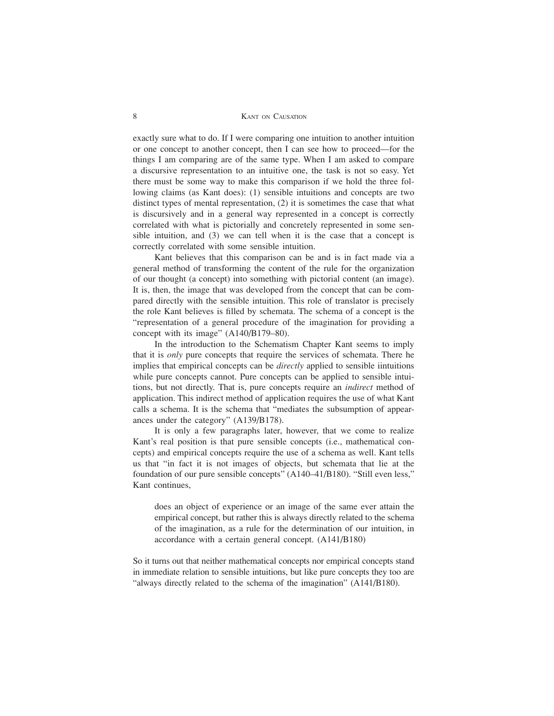exactly sure what to do. If I were comparing one intuition to another intuition or one concept to another concept, then I can see how to proceed—for the things I am comparing are of the same type. When I am asked to compare a discursive representation to an intuitive one, the task is not so easy. Yet there must be some way to make this comparison if we hold the three following claims (as Kant does): (1) sensible intuitions and concepts are two distinct types of mental representation, (2) it is sometimes the case that what is discursively and in a general way represented in a concept is correctly correlated with what is pictorially and concretely represented in some sensible intuition, and (3) we can tell when it is the case that a concept is correctly correlated with some sensible intuition.

Kant believes that this comparison can be and is in fact made via a general method of transforming the content of the rule for the organization of our thought (a concept) into something with pictorial content (an image). It is, then, the image that was developed from the concept that can be compared directly with the sensible intuition. This role of translator is precisely the role Kant believes is filled by schemata. The schema of a concept is the "representation of a general procedure of the imagination for providing a concept with its image" (A140/B179–80).

In the introduction to the Schematism Chapter Kant seems to imply that it is *only* pure concepts that require the services of schemata. There he implies that empirical concepts can be *directly* applied to sensible iintuitions while pure concepts cannot. Pure concepts can be applied to sensible intuitions, but not directly. That is, pure concepts require an *indirect* method of application. This indirect method of application requires the use of what Kant calls a schema. It is the schema that "mediates the subsumption of appearances under the category" (A139/B178).

It is only a few paragraphs later, however, that we come to realize Kant's real position is that pure sensible concepts (i.e., mathematical concepts) and empirical concepts require the use of a schema as well. Kant tells us that "in fact it is not images of objects, but schemata that lie at the foundation of our pure sensible concepts" (A140–41/B180). "Still even less," Kant continues,

does an object of experience or an image of the same ever attain the empirical concept, but rather this is always directly related to the schema of the imagination, as a rule for the determination of our intuition, in accordance with a certain general concept. (A141/B180)

So it turns out that neither mathematical concepts nor empirical concepts stand in immediate relation to sensible intuitions, but like pure concepts they too are "always directly related to the schema of the imagination" (A141/B180).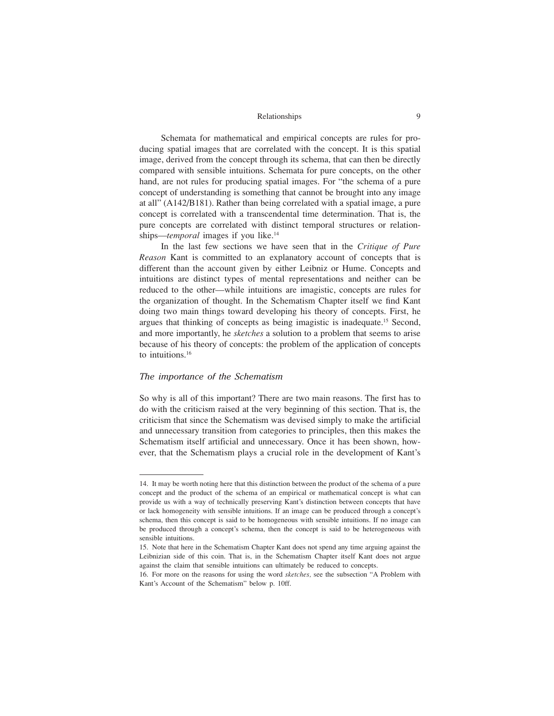Schemata for mathematical and empirical concepts are rules for producing spatial images that are correlated with the concept. It is this spatial image, derived from the concept through its schema, that can then be directly compared with sensible intuitions. Schemata for pure concepts, on the other hand, are not rules for producing spatial images. For "the schema of a pure concept of understanding is something that cannot be brought into any image at all" (A142/B181). Rather than being correlated with a spatial image, a pure concept is correlated with a transcendental time determination. That is, the pure concepts are correlated with distinct temporal structures or relationships—*temporal* images if you like.<sup>14</sup>

In the last few sections we have seen that in the *Critique of Pure Reason* Kant is committed to an explanatory account of concepts that is different than the account given by either Leibniz or Hume. Concepts and intuitions are distinct types of mental representations and neither can be reduced to the other—while intuitions are imagistic, concepts are rules for the organization of thought. In the Schematism Chapter itself we find Kant doing two main things toward developing his theory of concepts. First, he argues that thinking of concepts as being imagistic is inadequate.15 Second, and more importantly, he *sketches* a solution to a problem that seems to arise because of his theory of concepts: the problem of the application of concepts to intuitions.16

## *The importance of the Schematism*

So why is all of this important? There are two main reasons. The first has to do with the criticism raised at the very beginning of this section. That is, the criticism that since the Schematism was devised simply to make the artificial and unnecessary transition from categories to principles, then this makes the Schematism itself artificial and unnecessary. Once it has been shown, however, that the Schematism plays a crucial role in the development of Kant's

<sup>14.</sup> It may be worth noting here that this distinction between the product of the schema of a pure concept and the product of the schema of an empirical or mathematical concept is what can provide us with a way of technically preserving Kant's distinction between concepts that have or lack homogeneity with sensible intuitions. If an image can be produced through a concept's schema, then this concept is said to be homogeneous with sensible intuitions. If no image can be produced through a concept's schema, then the concept is said to be heterogeneous with sensible intuitions.

<sup>15.</sup> Note that here in the Schematism Chapter Kant does not spend any time arguing against the Leibnizian side of this coin. That is, in the Schematism Chapter itself Kant does not argue against the claim that sensible intuitions can ultimately be reduced to concepts.

<sup>16.</sup> For more on the reasons for using the word *sketches,* see the subsection "A Problem with Kant's Account of the Schematism" below p. 10ff.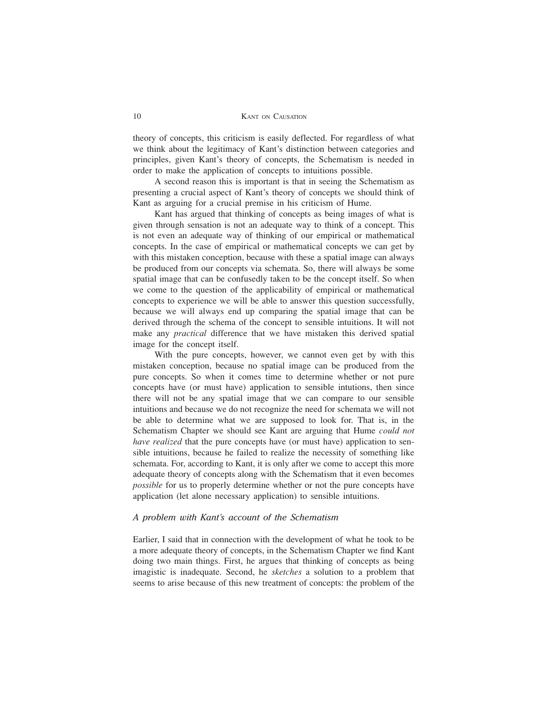theory of concepts, this criticism is easily deflected. For regardless of what we think about the legitimacy of Kant's distinction between categories and principles, given Kant's theory of concepts, the Schematism is needed in order to make the application of concepts to intuitions possible.

A second reason this is important is that in seeing the Schematism as presenting a crucial aspect of Kant's theory of concepts we should think of Kant as arguing for a crucial premise in his criticism of Hume.

Kant has argued that thinking of concepts as being images of what is given through sensation is not an adequate way to think of a concept. This is not even an adequate way of thinking of our empirical or mathematical concepts. In the case of empirical or mathematical concepts we can get by with this mistaken conception, because with these a spatial image can always be produced from our concepts via schemata. So, there will always be some spatial image that can be confusedly taken to be the concept itself. So when we come to the question of the applicability of empirical or mathematical concepts to experience we will be able to answer this question successfully, because we will always end up comparing the spatial image that can be derived through the schema of the concept to sensible intuitions. It will not make any *practical* difference that we have mistaken this derived spatial image for the concept itself.

With the pure concepts, however, we cannot even get by with this mistaken conception, because no spatial image can be produced from the pure concepts. So when it comes time to determine whether or not pure concepts have (or must have) application to sensible intutions, then since there will not be any spatial image that we can compare to our sensible intuitions and because we do not recognize the need for schemata we will not be able to determine what we are supposed to look for. That is, in the Schematism Chapter we should see Kant are arguing that Hume *could not have realized* that the pure concepts have (or must have) application to sensible intuitions, because he failed to realize the necessity of something like schemata. For, according to Kant, it is only after we come to accept this more adequate theory of concepts along with the Schematism that it even becomes *possible* for us to properly determine whether or not the pure concepts have application (let alone necessary application) to sensible intuitions.

# *A problem with Kant's account of the Schematism*

Earlier, I said that in connection with the development of what he took to be a more adequate theory of concepts, in the Schematism Chapter we find Kant doing two main things. First, he argues that thinking of concepts as being imagistic is inadequate. Second, he *sketches* a solution to a problem that seems to arise because of this new treatment of concepts: the problem of the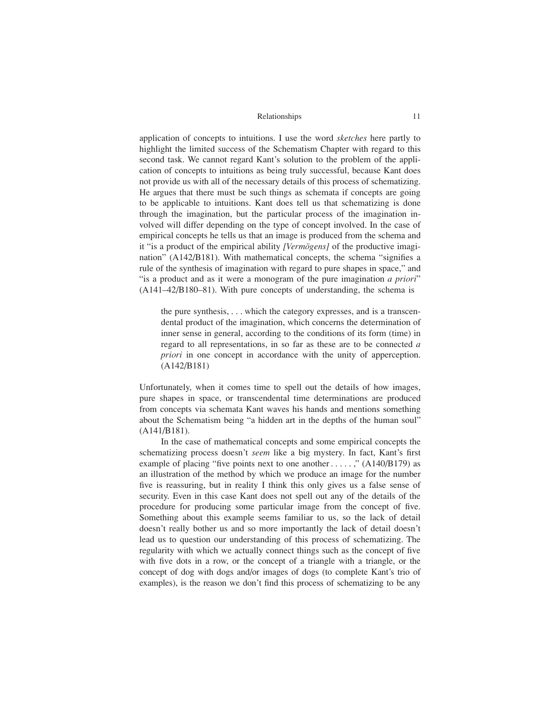application of concepts to intuitions. I use the word *sketches* here partly to highlight the limited success of the Schematism Chapter with regard to this second task. We cannot regard Kant's solution to the problem of the application of concepts to intuitions as being truly successful, because Kant does not provide us with all of the necessary details of this process of schematizing. He argues that there must be such things as schemata if concepts are going to be applicable to intuitions. Kant does tell us that schematizing is done through the imagination, but the particular process of the imagination involved will differ depending on the type of concept involved. In the case of empirical concepts he tells us that an image is produced from the schema and it "is a product of the empirical ability *[Vermögens]* of the productive imagination" (A142/B181). With mathematical concepts, the schema "signifies a rule of the synthesis of imagination with regard to pure shapes in space," and "is a product and as it were a monogram of the pure imagination *a priori*" (A141–42/B180–81). With pure concepts of understanding, the schema is

the pure synthesis, . . . which the category expresses, and is a transcendental product of the imagination, which concerns the determination of inner sense in general, according to the conditions of its form (time) in regard to all representations, in so far as these are to be connected *a priori* in one concept in accordance with the unity of apperception. (A142/B181)

Unfortunately, when it comes time to spell out the details of how images, pure shapes in space, or transcendental time determinations are produced from concepts via schemata Kant waves his hands and mentions something about the Schematism being "a hidden art in the depths of the human soul" (A141/B181).

In the case of mathematical concepts and some empirical concepts the schematizing process doesn't *seem* like a big mystery. In fact, Kant's first example of placing "five points next to one another .....,"  $(A140/B179)$  as an illustration of the method by which we produce an image for the number five is reassuring, but in reality I think this only gives us a false sense of security. Even in this case Kant does not spell out any of the details of the procedure for producing some particular image from the concept of five. Something about this example seems familiar to us, so the lack of detail doesn't really bother us and so more importantly the lack of detail doesn't lead us to question our understanding of this process of schematizing. The regularity with which we actually connect things such as the concept of five with five dots in a row, or the concept of a triangle with a triangle, or the concept of dog with dogs and/or images of dogs (to complete Kant's trio of examples), is the reason we don't find this process of schematizing to be any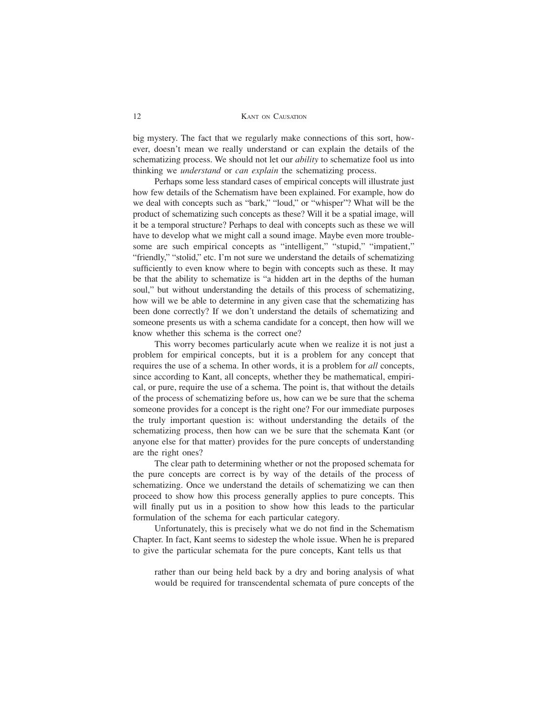big mystery. The fact that we regularly make connections of this sort, however, doesn't mean we really understand or can explain the details of the schematizing process. We should not let our *ability* to schematize fool us into thinking we *understand* or *can explain* the schematizing process.

Perhaps some less standard cases of empirical concepts will illustrate just how few details of the Schematism have been explained. For example, how do we deal with concepts such as "bark," "loud," or "whisper"? What will be the product of schematizing such concepts as these? Will it be a spatial image, will it be a temporal structure? Perhaps to deal with concepts such as these we will have to develop what we might call a sound image. Maybe even more troublesome are such empirical concepts as "intelligent," "stupid," "impatient," "friendly," "stolid," etc. I'm not sure we understand the details of schematizing sufficiently to even know where to begin with concepts such as these. It may be that the ability to schematize is "a hidden art in the depths of the human soul," but without understanding the details of this process of schematizing, how will we be able to determine in any given case that the schematizing has been done correctly? If we don't understand the details of schematizing and someone presents us with a schema candidate for a concept, then how will we know whether this schema is the correct one?

This worry becomes particularly acute when we realize it is not just a problem for empirical concepts, but it is a problem for any concept that requires the use of a schema. In other words, it is a problem for *all* concepts, since according to Kant, all concepts, whether they be mathematical, empirical, or pure, require the use of a schema. The point is, that without the details of the process of schematizing before us, how can we be sure that the schema someone provides for a concept is the right one? For our immediate purposes the truly important question is: without understanding the details of the schematizing process, then how can we be sure that the schemata Kant (or anyone else for that matter) provides for the pure concepts of understanding are the right ones?

The clear path to determining whether or not the proposed schemata for the pure concepts are correct is by way of the details of the process of schematizing. Once we understand the details of schematizing we can then proceed to show how this process generally applies to pure concepts. This will finally put us in a position to show how this leads to the particular formulation of the schema for each particular category.

Unfortunately, this is precisely what we do not find in the Schematism Chapter. In fact, Kant seems to sidestep the whole issue. When he is prepared to give the particular schemata for the pure concepts, Kant tells us that

rather than our being held back by a dry and boring analysis of what would be required for transcendental schemata of pure concepts of the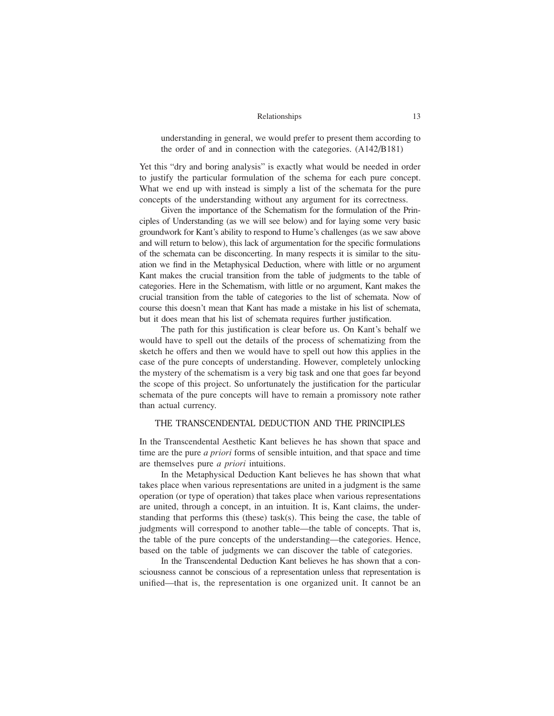understanding in general, we would prefer to present them according to the order of and in connection with the categories. (A142/B181)

Yet this "dry and boring analysis" is exactly what would be needed in order to justify the particular formulation of the schema for each pure concept. What we end up with instead is simply a list of the schemata for the pure concepts of the understanding without any argument for its correctness.

Given the importance of the Schematism for the formulation of the Principles of Understanding (as we will see below) and for laying some very basic groundwork for Kant's ability to respond to Hume's challenges (as we saw above and will return to below), this lack of argumentation for the specific formulations of the schemata can be disconcerting. In many respects it is similar to the situation we find in the Metaphysical Deduction, where with little or no argument Kant makes the crucial transition from the table of judgments to the table of categories. Here in the Schematism, with little or no argument, Kant makes the crucial transition from the table of categories to the list of schemata. Now of course this doesn't mean that Kant has made a mistake in his list of schemata, but it does mean that his list of schemata requires further justification.

The path for this justification is clear before us. On Kant's behalf we would have to spell out the details of the process of schematizing from the sketch he offers and then we would have to spell out how this applies in the case of the pure concepts of understanding. However, completely unlocking the mystery of the schematism is a very big task and one that goes far beyond the scope of this project. So unfortunately the justification for the particular schemata of the pure concepts will have to remain a promissory note rather than actual currency.

# THE TRANSCENDENTAL DEDUCTION AND THE PRINCIPLES

In the Transcendental Aesthetic Kant believes he has shown that space and time are the pure *a priori* forms of sensible intuition, and that space and time are themselves pure *a priori* intuitions.

In the Metaphysical Deduction Kant believes he has shown that what takes place when various representations are united in a judgment is the same operation (or type of operation) that takes place when various representations are united, through a concept, in an intuition. It is, Kant claims, the understanding that performs this (these) task(s). This being the case, the table of judgments will correspond to another table—the table of concepts. That is, the table of the pure concepts of the understanding—the categories. Hence, based on the table of judgments we can discover the table of categories.

In the Transcendental Deduction Kant believes he has shown that a consciousness cannot be conscious of a representation unless that representation is unified—that is, the representation is one organized unit. It cannot be an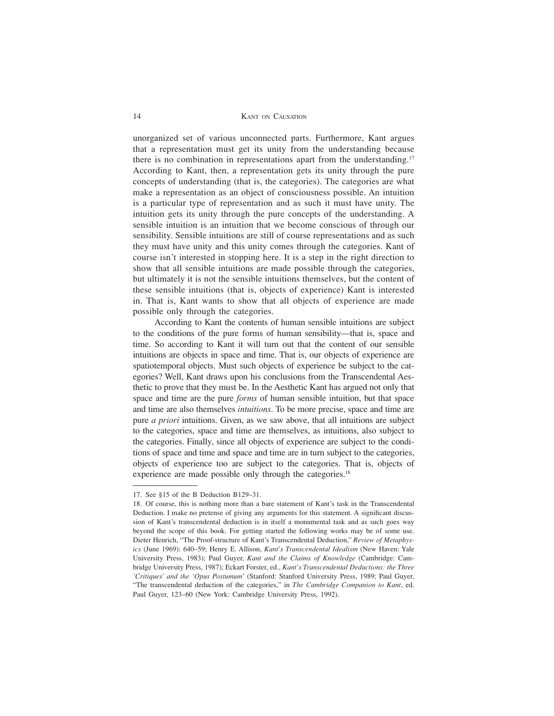unorganized set of various unconnected parts. Furthermore, Kant argues that a representation must get its unity from the understanding because there is no combination in representations apart from the understanding.<sup>17</sup> According to Kant, then, a representation gets its unity through the pure concepts of understanding (that is, the categories). The categories are what make a representation as an object of consciousness possible. An intuition is a particular type of representation and as such it must have unity. The intuition gets its unity through the pure concepts of the understanding. A sensible intuition is an intuition that we become conscious of through our sensibility. Sensible intuitions are still of course representations and as such they must have unity and this unity comes through the categories. Kant of course isn't interested in stopping here. It is a step in the right direction to show that all sensible intuitions are made possible through the categories, but ultimately it is not the sensible intuitions themselves, but the content of these sensible intuitions (that is, objects of experience) Kant is interested in. That is, Kant wants to show that all objects of experience are made possible only through the categories.

According to Kant the contents of human sensible intuitions are subject to the conditions of the pure forms of human sensibility—that is, space and time. So according to Kant it will turn out that the content of our sensible intuitions are objects in space and time. That is, our objects of experience are spatiotemporal objects. Must such objects of experience be subject to the categories? Well, Kant draws upon his conclusions from the Transcendental Aesthetic to prove that they must be. In the Aesthetic Kant has argued not only that space and time are the pure *forms* of human sensible intuition, but that space and time are also themselves *intuitions*. To be more precise, space and time are pure *a priori* intuitions. Given, as we saw above, that all intuitions are subject to the categories, space and time are themselves, as intuitions, also subject to the categories. Finally, since all objects of experience are subject to the conditions of space and time and space and time are in turn subject to the categories, objects of experience too are subject to the categories. That is, objects of experience are made possible only through the categories.<sup>18</sup>

<sup>17.</sup> See §15 of the B Deduction B129–31.

<sup>18.</sup> Of course, this is nothing more than a bare statement of Kant's task in the Transcendental Deduction. I make no pretense of giving any arguments for this statement. A significant discussion of Kant's transcendental deduction is in itself a monumental task and as such goes way beyond the scope of this book. For getting started the following works may be of some use. Dieter Henrich, "The Proof-structure of Kant's Transcendental Deduction," *Review of Metaphysics* (June 1969): 640–59; Henry E. Allison, *Kant's Transcendental Idealism* (New Haven: Yale University Press, 1983); Paul Guyer, *Kant and the Claims of Knowledge* (Cambridge: Cambridge University Press, 1987); Eckart Forster, ed., *Kant's Transcendental Deductions: the Three 'Critiques' and the 'Opus Postumum*' (Stanford: Stanford University Press, 1989; Paul Guyer, "The transcendental deduction of the categories," in *The Cambridge Companion to Kant*, ed. Paul Guyer, 123–60 (New York: Cambridge University Press, 1992).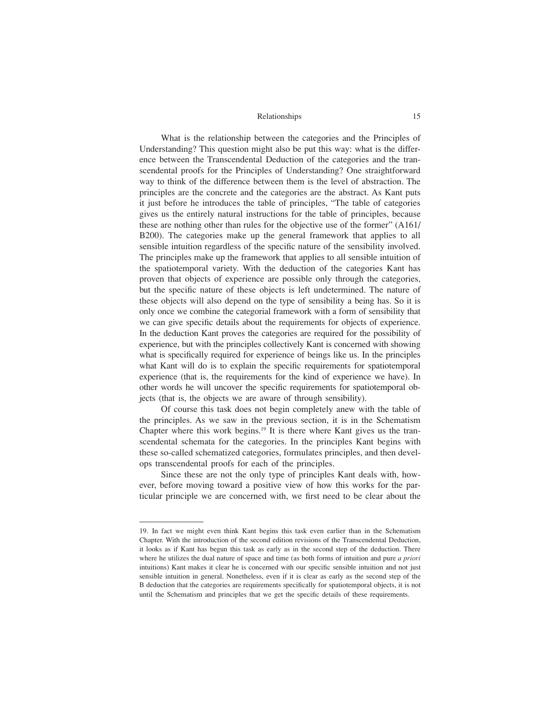What is the relationship between the categories and the Principles of Understanding? This question might also be put this way: what is the difference between the Transcendental Deduction of the categories and the transcendental proofs for the Principles of Understanding? One straightforward way to think of the difference between them is the level of abstraction. The principles are the concrete and the categories are the abstract. As Kant puts it just before he introduces the table of principles, "The table of categories gives us the entirely natural instructions for the table of principles, because these are nothing other than rules for the objective use of the former" (A161/ B200). The categories make up the general framework that applies to all sensible intuition regardless of the specific nature of the sensibility involved. The principles make up the framework that applies to all sensible intuition of the spatiotemporal variety. With the deduction of the categories Kant has proven that objects of experience are possible only through the categories, but the specific nature of these objects is left undetermined. The nature of these objects will also depend on the type of sensibility a being has. So it is only once we combine the categorial framework with a form of sensibility that we can give specific details about the requirements for objects of experience. In the deduction Kant proves the categories are required for the possibility of experience, but with the principles collectively Kant is concerned with showing what is specifically required for experience of beings like us. In the principles what Kant will do is to explain the specific requirements for spatiotemporal experience (that is, the requirements for the kind of experience we have). In other words he will uncover the specific requirements for spatiotemporal objects (that is, the objects we are aware of through sensibility).

Of course this task does not begin completely anew with the table of the principles. As we saw in the previous section, it is in the Schematism Chapter where this work begins.19 It is there where Kant gives us the transcendental schemata for the categories. In the principles Kant begins with these so-called schematized categories, formulates principles, and then develops transcendental proofs for each of the principles.

Since these are not the only type of principles Kant deals with, however, before moving toward a positive view of how this works for the particular principle we are concerned with, we first need to be clear about the

<sup>19.</sup> In fact we might even think Kant begins this task even earlier than in the Schematism Chapter. With the introduction of the second edition revisions of the Transcendental Deduction, it looks as if Kant has begun this task as early as in the second step of the deduction. There where he utilizes the dual nature of space and time (as both forms of intuition and pure *a priori* intuitions) Kant makes it clear he is concerned with our specific sensible intuition and not just sensible intuition in general. Nonetheless, even if it is clear as early as the second step of the B deduction that the categories are requirements specifically for spatiotemporal objects, it is not until the Schematism and principles that we get the specific details of these requirements.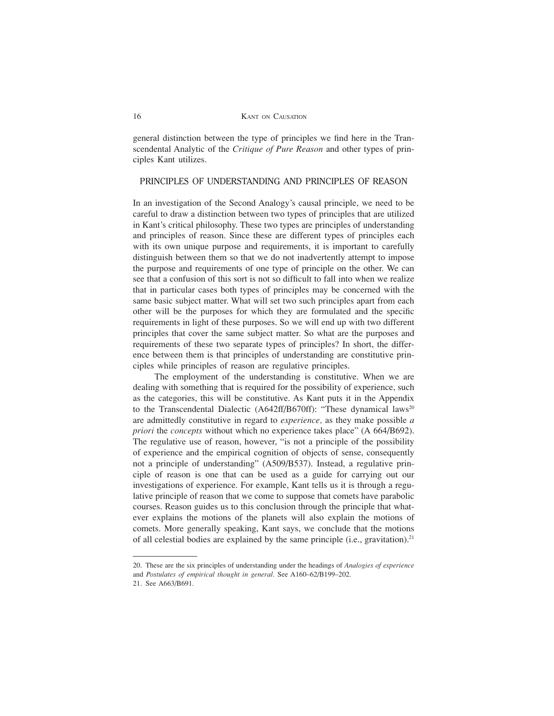general distinction between the type of principles we find here in the Transcendental Analytic of the *Critique of Pure Reason* and other types of principles Kant utilizes.

## PRINCIPLES OF UNDERSTANDING AND PRINCIPLES OF REASON

In an investigation of the Second Analogy's causal principle, we need to be careful to draw a distinction between two types of principles that are utilized in Kant's critical philosophy. These two types are principles of understanding and principles of reason. Since these are different types of principles each with its own unique purpose and requirements, it is important to carefully distinguish between them so that we do not inadvertently attempt to impose the purpose and requirements of one type of principle on the other. We can see that a confusion of this sort is not so difficult to fall into when we realize that in particular cases both types of principles may be concerned with the same basic subject matter. What will set two such principles apart from each other will be the purposes for which they are formulated and the specific requirements in light of these purposes. So we will end up with two different principles that cover the same subject matter. So what are the purposes and requirements of these two separate types of principles? In short, the difference between them is that principles of understanding are constitutive principles while principles of reason are regulative principles.

The employment of the understanding is constitutive. When we are dealing with something that is required for the possibility of experience, such as the categories, this will be constitutive. As Kant puts it in the Appendix to the Transcendental Dialectic (A642ff/B670ff): "These dynamical laws<sup>20</sup> are admittedly constitutive in regard to *experience,* as they make possible *a priori* the *concepts* without which no experience takes place" (A 664/B692). The regulative use of reason, however, "is not a principle of the possibility of experience and the empirical cognition of objects of sense, consequently not a principle of understanding" (A509/B537). Instead, a regulative principle of reason is one that can be used as a guide for carrying out our investigations of experience. For example, Kant tells us it is through a regulative principle of reason that we come to suppose that comets have parabolic courses. Reason guides us to this conclusion through the principle that whatever explains the motions of the planets will also explain the motions of comets. More generally speaking, Kant says, we conclude that the motions of all celestial bodies are explained by the same principle (i.e., gravitation).<sup>21</sup>

<sup>20.</sup> These are the six principles of understanding under the headings of *Analogies of experience* and *Postulates of empirical thought in general*. See A160–62/B199–202.

<sup>21.</sup> See A663/B691.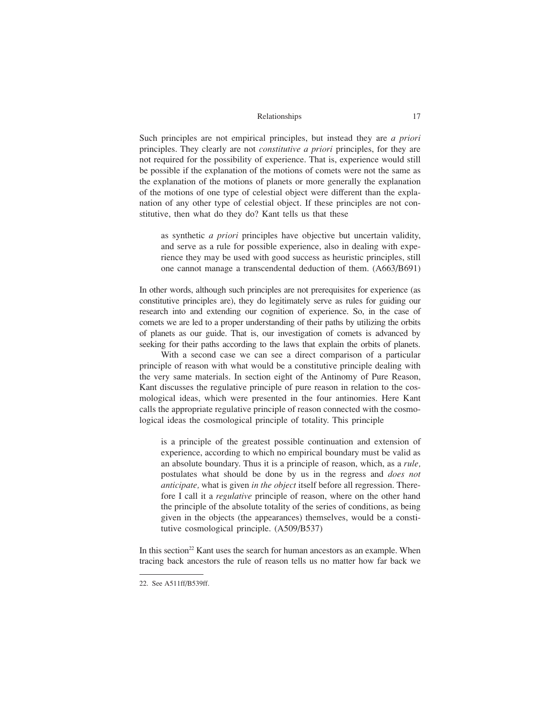Such principles are not empirical principles, but instead they are *a priori* principles. They clearly are not *constitutive a priori* principles, for they are not required for the possibility of experience. That is, experience would still be possible if the explanation of the motions of comets were not the same as the explanation of the motions of planets or more generally the explanation of the motions of one type of celestial object were different than the explanation of any other type of celestial object. If these principles are not constitutive, then what do they do? Kant tells us that these

as synthetic *a priori* principles have objective but uncertain validity, and serve as a rule for possible experience, also in dealing with experience they may be used with good success as heuristic principles, still one cannot manage a transcendental deduction of them. (A663/B691)

In other words, although such principles are not prerequisites for experience (as constitutive principles are), they do legitimately serve as rules for guiding our research into and extending our cognition of experience. So, in the case of comets we are led to a proper understanding of their paths by utilizing the orbits of planets as our guide. That is, our investigation of comets is advanced by seeking for their paths according to the laws that explain the orbits of planets.

With a second case we can see a direct comparison of a particular principle of reason with what would be a constitutive principle dealing with the very same materials. In section eight of the Antinomy of Pure Reason, Kant discusses the regulative principle of pure reason in relation to the cosmological ideas, which were presented in the four antinomies. Here Kant calls the appropriate regulative principle of reason connected with the cosmological ideas the cosmological principle of totality. This principle

is a principle of the greatest possible continuation and extension of experience, according to which no empirical boundary must be valid as an absolute boundary. Thus it is a principle of reason, which, as a *rule,* postulates what should be done by us in the regress and *does not anticipate,* what is given *in the object* itself before all regression. Therefore I call it a *regulative* principle of reason, where on the other hand the principle of the absolute totality of the series of conditions, as being given in the objects (the appearances) themselves, would be a constitutive cosmological principle. (A509/B537)

In this section<sup>22</sup> Kant uses the search for human ancestors as an example. When tracing back ancestors the rule of reason tells us no matter how far back we

<sup>22.</sup> See A511ff/B539ff.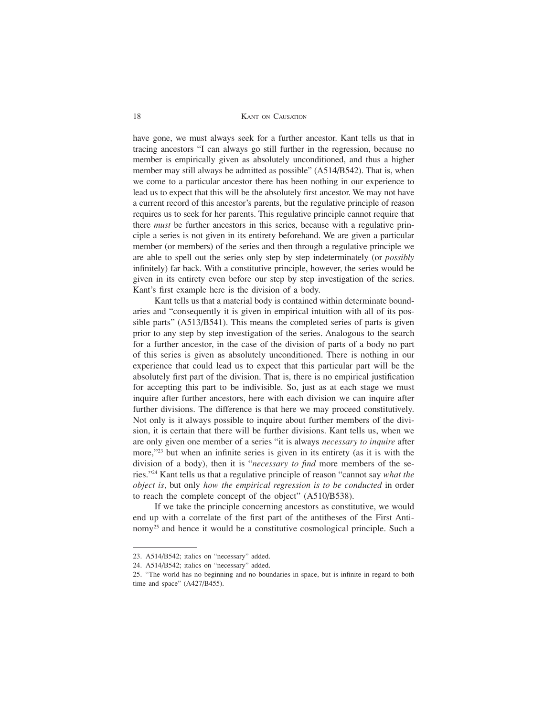have gone, we must always seek for a further ancestor. Kant tells us that in tracing ancestors "I can always go still further in the regression, because no member is empirically given as absolutely unconditioned, and thus a higher member may still always be admitted as possible" (A514/B542). That is, when we come to a particular ancestor there has been nothing in our experience to lead us to expect that this will be the absolutely first ancestor. We may not have a current record of this ancestor's parents, but the regulative principle of reason requires us to seek for her parents. This regulative principle cannot require that there *must* be further ancestors in this series, because with a regulative principle a series is not given in its entirety beforehand. We are given a particular member (or members) of the series and then through a regulative principle we are able to spell out the series only step by step indeterminately (or *possibly* infinitely) far back. With a constitutive principle, however, the series would be given in its entirety even before our step by step investigation of the series. Kant's first example here is the division of a body.

Kant tells us that a material body is contained within determinate boundaries and "consequently it is given in empirical intuition with all of its possible parts" (A513/B541). This means the completed series of parts is given prior to any step by step investigation of the series. Analogous to the search for a further ancestor, in the case of the division of parts of a body no part of this series is given as absolutely unconditioned. There is nothing in our experience that could lead us to expect that this particular part will be the absolutely first part of the division. That is, there is no empirical justification for accepting this part to be indivisible. So, just as at each stage we must inquire after further ancestors, here with each division we can inquire after further divisions. The difference is that here we may proceed constitutively. Not only is it always possible to inquire about further members of the division, it is certain that there will be further divisions. Kant tells us, when we are only given one member of a series "it is always *necessary to inquire* after more,"23 but when an infinite series is given in its entirety (as it is with the division of a body), then it is "*necessary to find* more members of the series."24 Kant tells us that a regulative principle of reason "cannot say *what the object is,* but only *how the empirical regression is to be conducted* in order to reach the complete concept of the object" (A510/B538).

If we take the principle concerning ancestors as constitutive, we would end up with a correlate of the first part of the antitheses of the First Antinomy<sup>25</sup> and hence it would be a constitutive cosmological principle. Such a

<sup>23.</sup> A514/B542; italics on "necessary" added.

<sup>24.</sup> A514/B542; italics on "necessary" added.

<sup>25. &</sup>quot;The world has no beginning and no boundaries in space, but is infinite in regard to both time and space" (A427/B455).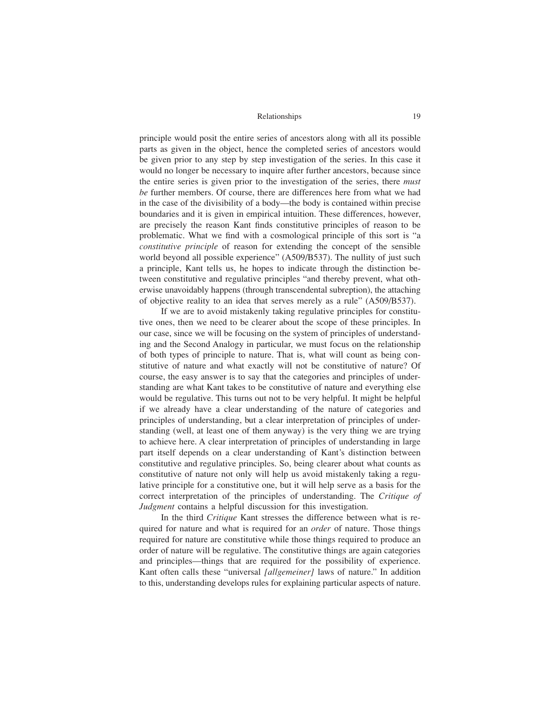principle would posit the entire series of ancestors along with all its possible parts as given in the object, hence the completed series of ancestors would be given prior to any step by step investigation of the series. In this case it would no longer be necessary to inquire after further ancestors, because since the entire series is given prior to the investigation of the series, there *must be* further members. Of course, there are differences here from what we had in the case of the divisibility of a body—the body is contained within precise boundaries and it is given in empirical intuition. These differences, however, are precisely the reason Kant finds constitutive principles of reason to be problematic. What we find with a cosmological principle of this sort is "a *constitutive principle* of reason for extending the concept of the sensible world beyond all possible experience" (A509/B537). The nullity of just such a principle, Kant tells us, he hopes to indicate through the distinction between constitutive and regulative principles "and thereby prevent, what otherwise unavoidably happens (through transcendental subreption), the attaching of objective reality to an idea that serves merely as a rule" (A509/B537).

If we are to avoid mistakenly taking regulative principles for constitutive ones, then we need to be clearer about the scope of these principles. In our case, since we will be focusing on the system of principles of understanding and the Second Analogy in particular, we must focus on the relationship of both types of principle to nature. That is, what will count as being constitutive of nature and what exactly will not be constitutive of nature? Of course, the easy answer is to say that the categories and principles of understanding are what Kant takes to be constitutive of nature and everything else would be regulative. This turns out not to be very helpful. It might be helpful if we already have a clear understanding of the nature of categories and principles of understanding, but a clear interpretation of principles of understanding (well, at least one of them anyway) is the very thing we are trying to achieve here. A clear interpretation of principles of understanding in large part itself depends on a clear understanding of Kant's distinction between constitutive and regulative principles. So, being clearer about what counts as constitutive of nature not only will help us avoid mistakenly taking a regulative principle for a constitutive one, but it will help serve as a basis for the correct interpretation of the principles of understanding. The *Critique of Judgment* contains a helpful discussion for this investigation.

In the third *Critique* Kant stresses the difference between what is required for nature and what is required for an *order* of nature. Those things required for nature are constitutive while those things required to produce an order of nature will be regulative. The constitutive things are again categories and principles—things that are required for the possibility of experience. Kant often calls these "universal *[allgemeiner]* laws of nature." In addition to this, understanding develops rules for explaining particular aspects of nature.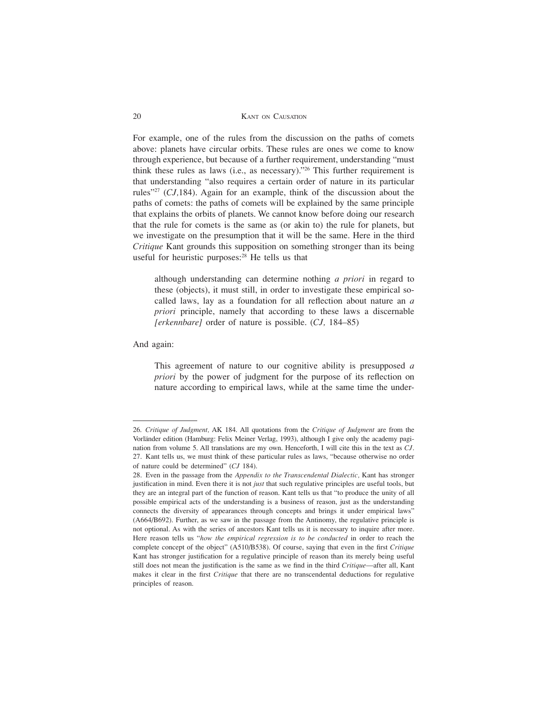For example, one of the rules from the discussion on the paths of comets above: planets have circular orbits. These rules are ones we come to know through experience, but because of a further requirement, understanding "must think these rules as laws (i.e., as necessary)."26 This further requirement is that understanding "also requires a certain order of nature in its particular rules"27 (*CJ,*184). Again for an example, think of the discussion about the paths of comets: the paths of comets will be explained by the same principle that explains the orbits of planets. We cannot know before doing our research that the rule for comets is the same as (or akin to) the rule for planets, but we investigate on the presumption that it will be the same. Here in the third *Critique* Kant grounds this supposition on something stronger than its being useful for heuristic purposes:<sup>28</sup> He tells us that

although understanding can determine nothing *a priori* in regard to these (objects), it must still, in order to investigate these empirical socalled laws, lay as a foundation for all reflection about nature an *a priori* principle, namely that according to these laws a discernable *[erkennbare]* order of nature is possible. (*CJ,* 184–85)

And again:

This agreement of nature to our cognitive ability is presupposed *a priori* by the power of judgment for the purpose of its reflection on nature according to empirical laws, while at the same time the under-

<sup>26.</sup> *Critique of Judgment,* AK 184. All quotations from the *Critique of Judgment* are from the Vorländer edition (Hamburg: Felix Meiner Verlag, 1993), although I give only the academy pagination from volume 5. All translations are my own. Henceforth, I will cite this in the text as *CJ*. 27. Kant tells us, we must think of these particular rules as laws, "because otherwise no order of nature could be determined" (*CJ* 184).

<sup>28.</sup> Even in the passage from the *Appendix to the Transcendental Dialectic,* Kant has stronger justification in mind. Even there it is not *just* that such regulative principles are useful tools, but they are an integral part of the function of reason. Kant tells us that "to produce the unity of all possible empirical acts of the understanding is a business of reason, just as the understanding connects the diversity of appearances through concepts and brings it under empirical laws" (A664/B692). Further, as we saw in the passage from the Antinomy, the regulative principle is not optional. As with the series of ancestors Kant tells us it is necessary to inquire after more. Here reason tells us "*how the empirical regression is to be conducted* in order to reach the complete concept of the object" (A510/B538). Of course, saying that even in the first *Critique* Kant has stronger justification for a regulative principle of reason than its merely being useful still does not mean the justification is the same as we find in the third *Critique*—after all, Kant makes it clear in the first *Critique* that there are no transcendental deductions for regulative principles of reason.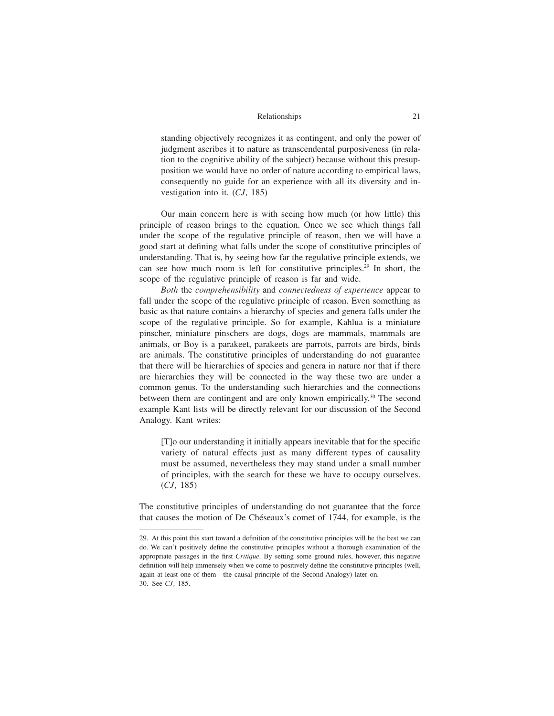standing objectively recognizes it as contingent, and only the power of judgment ascribes it to nature as transcendental purposiveness (in relation to the cognitive ability of the subject) because without this presupposition we would have no order of nature according to empirical laws, consequently no guide for an experience with all its diversity and investigation into it. (*CJ,* 185)

Our main concern here is with seeing how much (or how little) this principle of reason brings to the equation. Once we see which things fall under the scope of the regulative principle of reason, then we will have a good start at defining what falls under the scope of constitutive principles of understanding. That is, by seeing how far the regulative principle extends, we can see how much room is left for constitutive principles.<sup>29</sup> In short, the scope of the regulative principle of reason is far and wide.

*Both* the *comprehensibility* and *connectedness of experience* appear to fall under the scope of the regulative principle of reason. Even something as basic as that nature contains a hierarchy of species and genera falls under the scope of the regulative principle. So for example, Kahlua is a miniature pinscher, miniature pinschers are dogs, dogs are mammals, mammals are animals, or Boy is a parakeet, parakeets are parrots, parrots are birds, birds are animals. The constitutive principles of understanding do not guarantee that there will be hierarchies of species and genera in nature nor that if there are hierarchies they will be connected in the way these two are under a common genus. To the understanding such hierarchies and the connections between them are contingent and are only known empirically.<sup>30</sup> The second example Kant lists will be directly relevant for our discussion of the Second Analogy. Kant writes:

[T]o our understanding it initially appears inevitable that for the specific variety of natural effects just as many different types of causality must be assumed, nevertheless they may stand under a small number of principles, with the search for these we have to occupy ourselves. (*CJ,* 185)

The constitutive principles of understanding do not guarantee that the force that causes the motion of De Chéseaux's comet of 1744, for example, is the

<sup>29.</sup> At this point this start toward a definition of the constitutive principles will be the best we can do. We can't positively define the constitutive principles without a thorough examination of the appropriate passages in the first *Critique*. By setting some ground rules, however, this negative definition will help immensely when we come to positively define the constitutive principles (well, again at least one of them—the causal principle of the Second Analogy) later on. 30. See *CJ,* 185.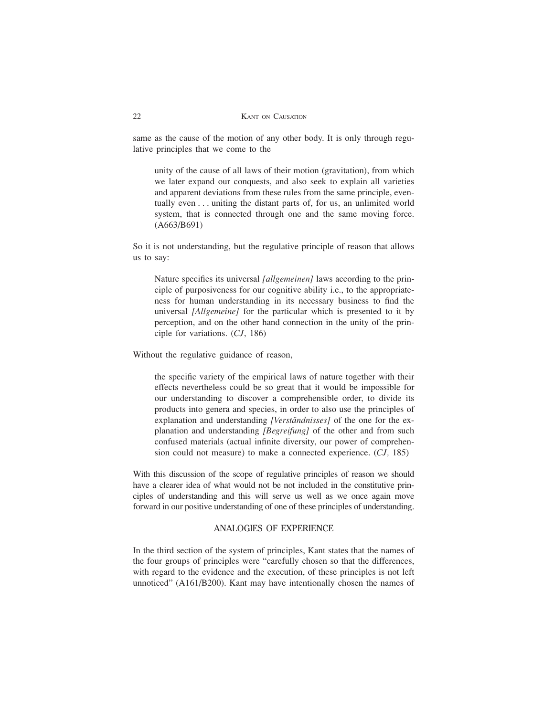same as the cause of the motion of any other body. It is only through regulative principles that we come to the

unity of the cause of all laws of their motion (gravitation), from which we later expand our conquests, and also seek to explain all varieties and apparent deviations from these rules from the same principle, eventually even . . . uniting the distant parts of, for us, an unlimited world system, that is connected through one and the same moving force. (A663/B691)

So it is not understanding, but the regulative principle of reason that allows us to say:

Nature specifies its universal *[allgemeinen]* laws according to the principle of purposiveness for our cognitive ability i.e., to the appropriateness for human understanding in its necessary business to find the universal *[Allgemeine]* for the particular which is presented to it by perception, and on the other hand connection in the unity of the principle for variations. (*CJ*, 186)

Without the regulative guidance of reason,

the specific variety of the empirical laws of nature together with their effects nevertheless could be so great that it would be impossible for our understanding to discover a comprehensible order, to divide its products into genera and species, in order to also use the principles of explanation and understanding *[Verständnisses]* of the one for the explanation and understanding *[Begreifung]* of the other and from such confused materials (actual infinite diversity, our power of comprehension could not measure) to make a connected experience. (*CJ,* 185)

With this discussion of the scope of regulative principles of reason we should have a clearer idea of what would not be not included in the constitutive principles of understanding and this will serve us well as we once again move forward in our positive understanding of one of these principles of understanding.

# ANALOGIES OF EXPERIENCE

In the third section of the system of principles, Kant states that the names of the four groups of principles were "carefully chosen so that the differences, with regard to the evidence and the execution, of these principles is not left unnoticed" (A161/B200). Kant may have intentionally chosen the names of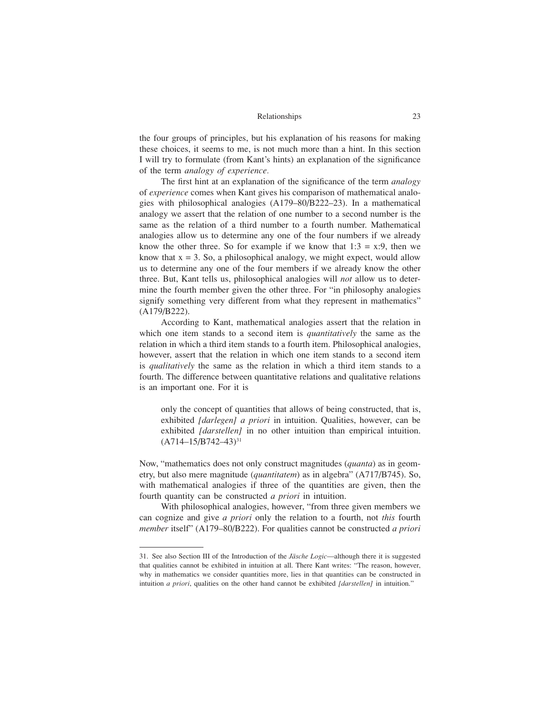the four groups of principles, but his explanation of his reasons for making these choices, it seems to me, is not much more than a hint. In this section I will try to formulate (from Kant's hints) an explanation of the significance of the term *analogy of experience.*

The first hint at an explanation of the significance of the term *analogy* of *experience* comes when Kant gives his comparison of mathematical analogies with philosophical analogies (A179–80/B222–23). In a mathematical analogy we assert that the relation of one number to a second number is the same as the relation of a third number to a fourth number. Mathematical analogies allow us to determine any one of the four numbers if we already know the other three. So for example if we know that  $1:3 = x:9$ , then we know that  $x = 3$ . So, a philosophical analogy, we might expect, would allow us to determine any one of the four members if we already know the other three. But, Kant tells us, philosophical analogies will *not* allow us to determine the fourth member given the other three. For "in philosophy analogies signify something very different from what they represent in mathematics" (A179/B222).

According to Kant, mathematical analogies assert that the relation in which one item stands to a second item is *quantitatively* the same as the relation in which a third item stands to a fourth item. Philosophical analogies, however, assert that the relation in which one item stands to a second item is *qualitatively* the same as the relation in which a third item stands to a fourth. The difference between quantitative relations and qualitative relations is an important one. For it is

only the concept of quantities that allows of being constructed, that is, exhibited *[darlegen] a priori* in intuition. Qualities, however, can be exhibited *[darstellen]* in no other intuition than empirical intuition.  $(A714-15/B742-43)^{31}$ 

Now, "mathematics does not only construct magnitudes (*quanta*) as in geometry, but also mere magnitude (*quantitatem*) as in algebra" (A717/B745). So, with mathematical analogies if three of the quantities are given, then the fourth quantity can be constructed *a priori* in intuition.

With philosophical analogies, however, "from three given members we can cognize and give *a priori* only the relation to a fourth, not *this* fourth *member* itself" (A179–80/B222). For qualities cannot be constructed *a priori*

<sup>31.</sup> See also Section III of the Introduction of the *Jäsche Logic*—although there it is suggested that qualities cannot be exhibited in intuition at all. There Kant writes: "The reason, however, why in mathematics we consider quantities more, lies in that quantities can be constructed in intuition *a priori*, qualities on the other hand cannot be exhibited *[darstellen]* in intuition."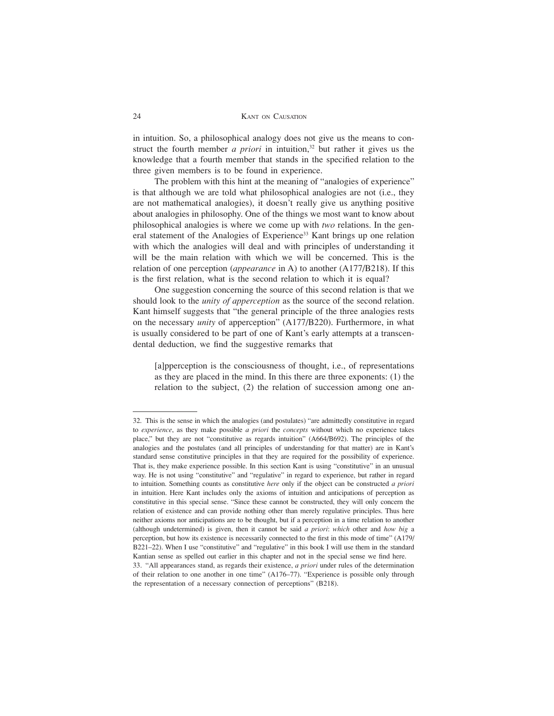in intuition. So, a philosophical analogy does not give us the means to construct the fourth member *a priori* in intuition, $32$  but rather it gives us the knowledge that a fourth member that stands in the specified relation to the three given members is to be found in experience.

The problem with this hint at the meaning of "analogies of experience" is that although we are told what philosophical analogies are not (i.e., they are not mathematical analogies), it doesn't really give us anything positive about analogies in philosophy. One of the things we most want to know about philosophical analogies is where we come up with *two* relations. In the general statement of the Analogies of Experience<sup>33</sup> Kant brings up one relation with which the analogies will deal and with principles of understanding it will be the main relation with which we will be concerned. This is the relation of one perception (*appearance* in A) to another (A177/B218). If this is the first relation, what is the second relation to which it is equal?

One suggestion concerning the source of this second relation is that we should look to the *unity of apperception* as the source of the second relation. Kant himself suggests that "the general principle of the three analogies rests on the necessary *unity* of apperception" (A177/B220). Furthermore, in what is usually considered to be part of one of Kant's early attempts at a transcendental deduction, we find the suggestive remarks that

[a]pperception is the consciousness of thought, i.e., of representations as they are placed in the mind. In this there are three exponents: (1) the relation to the subject, (2) the relation of succession among one an-

<sup>32.</sup> This is the sense in which the analogies (and postulates) "are admittedly constitutive in regard to *experience*, as they make possible *a priori* the *concepts* without which no experience takes place," but they are not "constitutive as regards intuition" (A664/B692). The principles of the analogies and the postulates (and all principles of understanding for that matter) are in Kant's standard sense constitutive principles in that they are required for the possibility of experience. That is, they make experience possible. In this section Kant is using "constitutive" in an unusual way. He is not using "constitutive" and "regulative" in regard to experience, but rather in regard to intuition. Something counts as constitutive *here* only if the object can be constructed *a priori* in intuition. Here Kant includes only the axioms of intuition and anticipations of perception as constitutive in this special sense. "Since these cannot be constructed, they will only concern the relation of existence and can provide nothing other than merely regulative principles. Thus here neither axioms nor anticipations are to be thought, but if a perception in a time relation to another (although undetermined) is given, then it cannot be said *a priori*: *which* other and *how big* a perception, but how its existence is necessarily connected to the first in this mode of time" (A179/ B221–22). When I use "constitutive" and "regulative" in this book I will use them in the standard Kantian sense as spelled out earlier in this chapter and not in the special sense we find here.

<sup>33. &</sup>quot;All appearances stand, as regards their existence, *a priori* under rules of the determination of their relation to one another in one time" (A176–77). "Experience is possible only through the representation of a necessary connection of perceptions" (B218).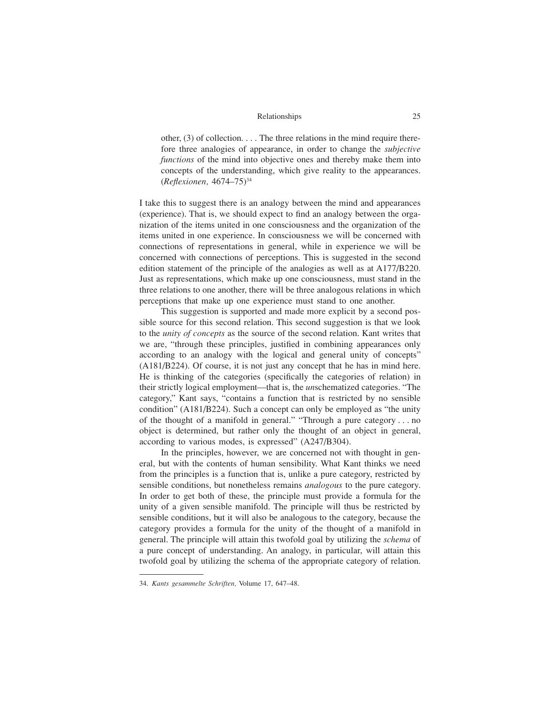other,  $(3)$  of collection. . . . The three relations in the mind require therefore three analogies of appearance, in order to change the *subjective functions* of the mind into objective ones and thereby make them into concepts of the understanding, which give reality to the appearances. (*Reflexionen,* 4674–75)34

I take this to suggest there is an analogy between the mind and appearances (experience). That is, we should expect to find an analogy between the organization of the items united in one consciousness and the organization of the items united in one experience. In consciousness we will be concerned with connections of representations in general, while in experience we will be concerned with connections of perceptions. This is suggested in the second edition statement of the principle of the analogies as well as at A177/B220. Just as representations, which make up one consciousness, must stand in the three relations to one another, there will be three analogous relations in which perceptions that make up one experience must stand to one another.

This suggestion is supported and made more explicit by a second possible source for this second relation. This second suggestion is that we look to the *unity of concepts* as the source of the second relation. Kant writes that we are, "through these principles, justified in combining appearances only according to an analogy with the logical and general unity of concepts" (A181/B224). Of course, it is not just any concept that he has in mind here. He is thinking of the categories (specifically the categories of relation) in their strictly logical employment—that is, the *un*schematized categories. "The category," Kant says, "contains a function that is restricted by no sensible condition" (A181/B224). Such a concept can only be employed as "the unity of the thought of a manifold in general." "Through a pure category . . . no object is determined, but rather only the thought of an object in general, according to various modes, is expressed" (A247/B304).

In the principles, however, we are concerned not with thought in general, but with the contents of human sensibility. What Kant thinks we need from the principles is a function that is, unlike a pure category, restricted by sensible conditions, but nonetheless remains *analogous* to the pure category. In order to get both of these, the principle must provide a formula for the unity of a given sensible manifold. The principle will thus be restricted by sensible conditions, but it will also be analogous to the category, because the category provides a formula for the unity of the thought of a manifold in general. The principle will attain this twofold goal by utilizing the *schema* of a pure concept of understanding. An analogy, in particular, will attain this twofold goal by utilizing the schema of the appropriate category of relation.

<sup>34.</sup> *Kants gesammelte Schriften,* Volume 17, 647–48.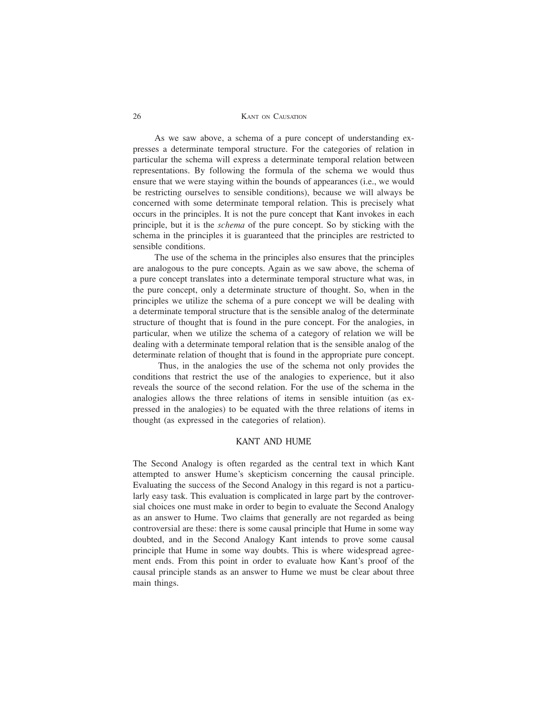As we saw above, a schema of a pure concept of understanding expresses a determinate temporal structure. For the categories of relation in particular the schema will express a determinate temporal relation between representations. By following the formula of the schema we would thus ensure that we were staying within the bounds of appearances (i.e., we would be restricting ourselves to sensible conditions), because we will always be concerned with some determinate temporal relation. This is precisely what occurs in the principles. It is not the pure concept that Kant invokes in each principle, but it is the *schema* of the pure concept. So by sticking with the schema in the principles it is guaranteed that the principles are restricted to sensible conditions.

The use of the schema in the principles also ensures that the principles are analogous to the pure concepts. Again as we saw above, the schema of a pure concept translates into a determinate temporal structure what was, in the pure concept, only a determinate structure of thought. So, when in the principles we utilize the schema of a pure concept we will be dealing with a determinate temporal structure that is the sensible analog of the determinate structure of thought that is found in the pure concept. For the analogies, in particular, when we utilize the schema of a category of relation we will be dealing with a determinate temporal relation that is the sensible analog of the determinate relation of thought that is found in the appropriate pure concept.

Thus, in the analogies the use of the schema not only provides the conditions that restrict the use of the analogies to experience, but it also reveals the source of the second relation. For the use of the schema in the analogies allows the three relations of items in sensible intuition (as expressed in the analogies) to be equated with the three relations of items in thought (as expressed in the categories of relation).

# KANT AND HUME

The Second Analogy is often regarded as the central text in which Kant attempted to answer Hume's skepticism concerning the causal principle. Evaluating the success of the Second Analogy in this regard is not a particularly easy task. This evaluation is complicated in large part by the controversial choices one must make in order to begin to evaluate the Second Analogy as an answer to Hume. Two claims that generally are not regarded as being controversial are these: there is some causal principle that Hume in some way doubted, and in the Second Analogy Kant intends to prove some causal principle that Hume in some way doubts. This is where widespread agreement ends. From this point in order to evaluate how Kant's proof of the causal principle stands as an answer to Hume we must be clear about three main things.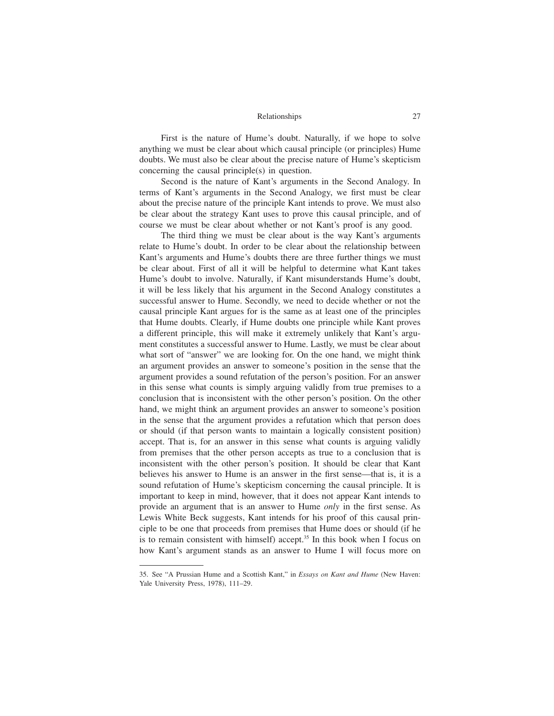First is the nature of Hume's doubt. Naturally, if we hope to solve anything we must be clear about which causal principle (or principles) Hume doubts. We must also be clear about the precise nature of Hume's skepticism concerning the causal principle(s) in question.

Second is the nature of Kant's arguments in the Second Analogy. In terms of Kant's arguments in the Second Analogy, we first must be clear about the precise nature of the principle Kant intends to prove. We must also be clear about the strategy Kant uses to prove this causal principle, and of course we must be clear about whether or not Kant's proof is any good.

The third thing we must be clear about is the way Kant's arguments relate to Hume's doubt. In order to be clear about the relationship between Kant's arguments and Hume's doubts there are three further things we must be clear about. First of all it will be helpful to determine what Kant takes Hume's doubt to involve. Naturally, if Kant misunderstands Hume's doubt, it will be less likely that his argument in the Second Analogy constitutes a successful answer to Hume. Secondly, we need to decide whether or not the causal principle Kant argues for is the same as at least one of the principles that Hume doubts. Clearly, if Hume doubts one principle while Kant proves a different principle, this will make it extremely unlikely that Kant's argument constitutes a successful answer to Hume. Lastly, we must be clear about what sort of "answer" we are looking for. On the one hand, we might think an argument provides an answer to someone's position in the sense that the argument provides a sound refutation of the person's position. For an answer in this sense what counts is simply arguing validly from true premises to a conclusion that is inconsistent with the other person's position. On the other hand, we might think an argument provides an answer to someone's position in the sense that the argument provides a refutation which that person does or should (if that person wants to maintain a logically consistent position) accept. That is, for an answer in this sense what counts is arguing validly from premises that the other person accepts as true to a conclusion that is inconsistent with the other person's position. It should be clear that Kant believes his answer to Hume is an answer in the first sense—that is, it is a sound refutation of Hume's skepticism concerning the causal principle. It is important to keep in mind, however, that it does not appear Kant intends to provide an argument that is an answer to Hume *only* in the first sense. As Lewis White Beck suggests, Kant intends for his proof of this causal principle to be one that proceeds from premises that Hume does or should (if he is to remain consistent with himself) accept.<sup>35</sup> In this book when I focus on how Kant's argument stands as an answer to Hume I will focus more on

<sup>35.</sup> See "A Prussian Hume and a Scottish Kant," in *Essays on Kant and Hume* (New Haven: Yale University Press, 1978), 111–29.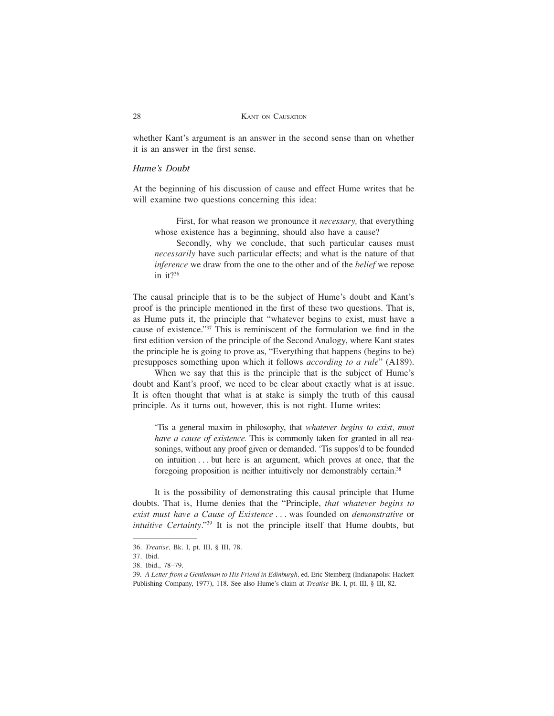whether Kant's argument is an answer in the second sense than on whether it is an answer in the first sense.

# *Hume's Doubt*

At the beginning of his discussion of cause and effect Hume writes that he will examine two questions concerning this idea:

First, for what reason we pronounce it *necessary,* that everything whose existence has a beginning, should also have a cause?

Secondly, why we conclude, that such particular causes must *necessarily* have such particular effects; and what is the nature of that *inference* we draw from the one to the other and of the *belief* we repose in it?36

The causal principle that is to be the subject of Hume's doubt and Kant's proof is the principle mentioned in the first of these two questions. That is, as Hume puts it, the principle that "whatever begins to exist, must have a cause of existence."37 This is reminiscent of the formulation we find in the first edition version of the principle of the Second Analogy, where Kant states the principle he is going to prove as, "Everything that happens (begins to be) presupposes something upon which it follows *according to a rule*" (A189).

When we say that this is the principle that is the subject of Hume's doubt and Kant's proof, we need to be clear about exactly what is at issue. It is often thought that what is at stake is simply the truth of this causal principle. As it turns out, however, this is not right. Hume writes:

'Tis a general maxim in philosophy, that *whatever begins to exist, must have a cause of existence.* This is commonly taken for granted in all reasonings, without any proof given or demanded. 'Tis suppos'd to be founded on intuition . . . but here is an argument, which proves at once, that the foregoing proposition is neither intuitively nor demonstrably certain.<sup>38</sup>

It is the possibility of demonstrating this causal principle that Hume doubts. That is, Hume denies that the "Principle, *that whatever begins to exist must have a Cause of Existence* . . . was founded on *demonstrative* or *intuitive Certainty*."39 It is not the principle itself that Hume doubts, but

<sup>36.</sup> *Treatise,* Bk. I, pt. III, § III, 78.

<sup>37.</sup> Ibid.

<sup>38.</sup> Ibid., 78–79.

<sup>39.</sup> *A Letter from a Gentleman to His Friend in Edinburgh,* ed. Eric Steinberg (Indianapolis: Hackett Publishing Company, 1977), 118. See also Hume's claim at *Treatise* Bk. I, pt. III, § III, 82.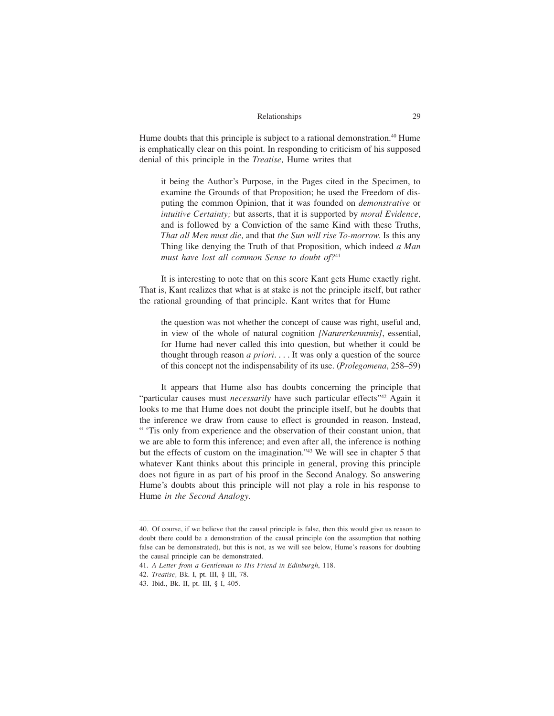Hume doubts that this principle is subject to a rational demonstration.<sup>40</sup> Hume is emphatically clear on this point. In responding to criticism of his supposed denial of this principle in the *Treatise,* Hume writes that

it being the Author's Purpose, in the Pages cited in the Specimen, to examine the Grounds of that Proposition; he used the Freedom of disputing the common Opinion, that it was founded on *demonstrative* or *intuitive Certainty;* but asserts, that it is supported by *moral Evidence,* and is followed by a Conviction of the same Kind with these Truths, *That all Men must die,* and that *the Sun will rise To-morrow.* Is this any Thing like denying the Truth of that Proposition, which indeed *a Man must have lost all common Sense to doubt of?*<sup>41</sup>

It is interesting to note that on this score Kant gets Hume exactly right. That is, Kant realizes that what is at stake is not the principle itself, but rather the rational grounding of that principle. Kant writes that for Hume

the question was not whether the concept of cause was right, useful and, in view of the whole of natural cognition *[Naturerkenntnis]*, essential, for Hume had never called this into question, but whether it could be thought through reason *a priori*. . . . It was only a question of the source of this concept not the indispensability of its use. (*Prolegomena*, 258–59)

It appears that Hume also has doubts concerning the principle that "particular causes must *necessarily* have such particular effects<sup>"42</sup> Again it looks to me that Hume does not doubt the principle itself, but he doubts that the inference we draw from cause to effect is grounded in reason. Instead, " 'Tis only from experience and the observation of their constant union, that we are able to form this inference; and even after all, the inference is nothing but the effects of custom on the imagination."43 We will see in chapter 5 that whatever Kant thinks about this principle in general, proving this principle does not figure in as part of his proof in the Second Analogy. So answering Hume's doubts about this principle will not play a role in his response to Hume *in the Second Analogy*.

<sup>40.</sup> Of course, if we believe that the causal principle is false, then this would give us reason to doubt there could be a demonstration of the causal principle (on the assumption that nothing false can be demonstrated), but this is not, as we will see below, Hume's reasons for doubting the causal principle can be demonstrated.

<sup>41.</sup> *A Letter from a Gentleman to His Friend in Edinburgh*, 118.

<sup>42.</sup> *Treatise,* Bk. I, pt. III, § III, 78.

<sup>43.</sup> Ibid., Bk. II, pt. III, § I, 405.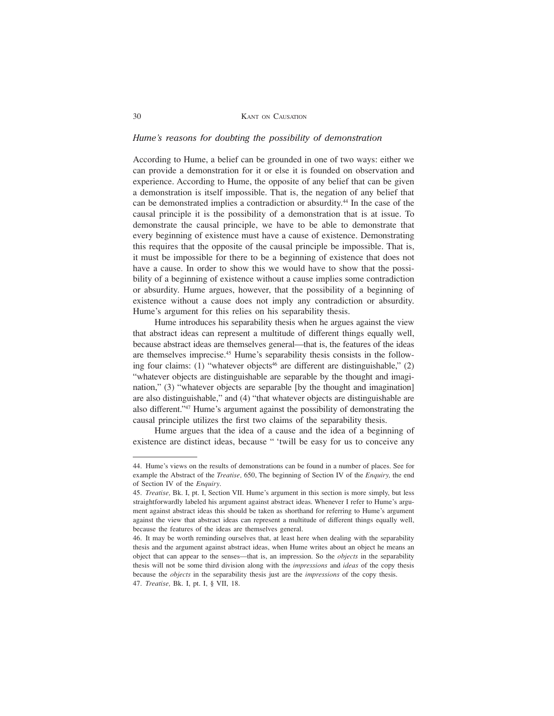# *Hume's reasons for doubting the possibility of demonstration*

According to Hume, a belief can be grounded in one of two ways: either we can provide a demonstration for it or else it is founded on observation and experience. According to Hume, the opposite of any belief that can be given a demonstration is itself impossible. That is, the negation of any belief that can be demonstrated implies a contradiction or absurdity.44 In the case of the causal principle it is the possibility of a demonstration that is at issue. To demonstrate the causal principle, we have to be able to demonstrate that every beginning of existence must have a cause of existence. Demonstrating this requires that the opposite of the causal principle be impossible. That is, it must be impossible for there to be a beginning of existence that does not have a cause. In order to show this we would have to show that the possibility of a beginning of existence without a cause implies some contradiction or absurdity. Hume argues, however, that the possibility of a beginning of existence without a cause does not imply any contradiction or absurdity. Hume's argument for this relies on his separability thesis.

Hume introduces his separability thesis when he argues against the view that abstract ideas can represent a multitude of different things equally well, because abstract ideas are themselves general—that is, the features of the ideas are themselves imprecise.45 Hume's separability thesis consists in the following four claims: (1) "whatever objects<sup>46</sup> are different are distinguishable,"  $(2)$ "whatever objects are distinguishable are separable by the thought and imagination," (3) "whatever objects are separable [by the thought and imagination] are also distinguishable," and (4) "that whatever objects are distinguishable are also different."47 Hume's argument against the possibility of demonstrating the causal principle utilizes the first two claims of the separability thesis.

Hume argues that the idea of a cause and the idea of a beginning of existence are distinct ideas, because " 'twill be easy for us to conceive any

<sup>44.</sup> Hume's views on the results of demonstrations can be found in a number of places. See for example the Abstract of the *Treatise,* 650, The beginning of Section IV of the *Enquiry,* the end of Section IV of the *Enquiry*.

<sup>45.</sup> *Treatise,* Bk. I, pt. I, Section VII. Hume's argument in this section is more simply, but less straightforwardly labeled his argument against abstract ideas. Whenever I refer to Hume's argument against abstract ideas this should be taken as shorthand for referring to Hume's argument against the view that abstract ideas can represent a multitude of different things equally well, because the features of the ideas are themselves general.

<sup>46.</sup> It may be worth reminding ourselves that, at least here when dealing with the separability thesis and the argument against abstract ideas, when Hume writes about an object he means an object that can appear to the senses—that is, an impression. So the *objects* in the separability thesis will not be some third division along with the *impressions* and *ideas* of the copy thesis because the *objects* in the separability thesis just are the *impressions* of the copy thesis. 47. *Treatise,* Bk. I, pt. I, § VII, 18.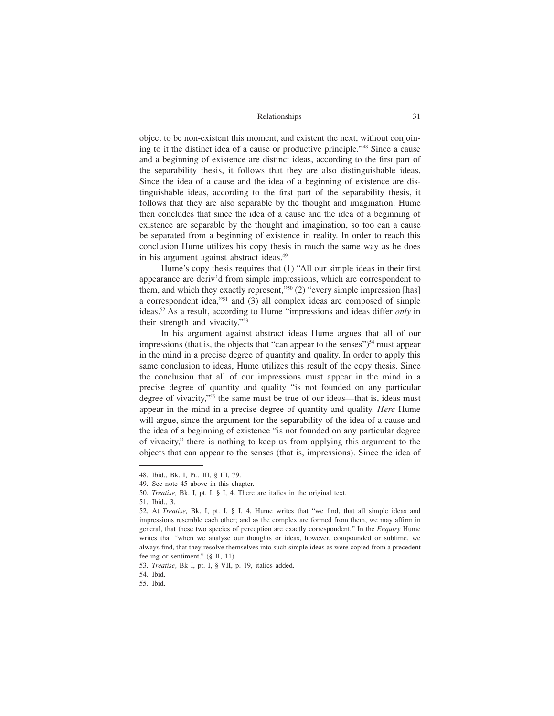object to be non-existent this moment, and existent the next, without conjoining to it the distinct idea of a cause or productive principle."48 Since a cause and a beginning of existence are distinct ideas, according to the first part of the separability thesis, it follows that they are also distinguishable ideas. Since the idea of a cause and the idea of a beginning of existence are distinguishable ideas, according to the first part of the separability thesis, it follows that they are also separable by the thought and imagination. Hume then concludes that since the idea of a cause and the idea of a beginning of existence are separable by the thought and imagination, so too can a cause be separated from a beginning of existence in reality. In order to reach this conclusion Hume utilizes his copy thesis in much the same way as he does in his argument against abstract ideas.<sup>49</sup>

Hume's copy thesis requires that (1) "All our simple ideas in their first appearance are deriv'd from simple impressions, which are correspondent to them, and which they exactly represent," $50$  (2) "every simple impression [has] a correspondent idea,"51 and (3) all complex ideas are composed of simple ideas.52 As a result, according to Hume "impressions and ideas differ *only* in their strength and vivacity."53

In his argument against abstract ideas Hume argues that all of our impressions (that is, the objects that "can appear to the senses") $54$  must appear in the mind in a precise degree of quantity and quality. In order to apply this same conclusion to ideas, Hume utilizes this result of the copy thesis. Since the conclusion that all of our impressions must appear in the mind in a precise degree of quantity and quality "is not founded on any particular degree of vivacity,"55 the same must be true of our ideas—that is, ideas must appear in the mind in a precise degree of quantity and quality. *Here* Hume will argue, since the argument for the separability of the idea of a cause and the idea of a beginning of existence "is not founded on any particular degree of vivacity," there is nothing to keep us from applying this argument to the objects that can appear to the senses (that is, impressions). Since the idea of

<sup>48.</sup> Ibid., Bk. I, Pt.. III, § III, 79.

<sup>49.</sup> See note 45 above in this chapter.

<sup>50.</sup> *Treatise,* Bk. I, pt. I, § I, 4. There are italics in the original text.

<sup>51.</sup> Ibid., 3.

<sup>52.</sup> At *Treatise,* Bk. I, pt. I, § I, 4, Hume writes that "we find, that all simple ideas and impressions resemble each other; and as the complex are formed from them, we may affirm in general, that these two species of perception are exactly correspondent." In the *Enquiry* Hume writes that "when we analyse our thoughts or ideas, however, compounded or sublime, we always find, that they resolve themselves into such simple ideas as were copied from a precedent feeling or sentiment." (§ II, 11).

<sup>53.</sup> *Treatise,* Bk I, pt. I, § VII, p. 19, italics added.

<sup>54.</sup> Ibid.

<sup>55.</sup> Ibid.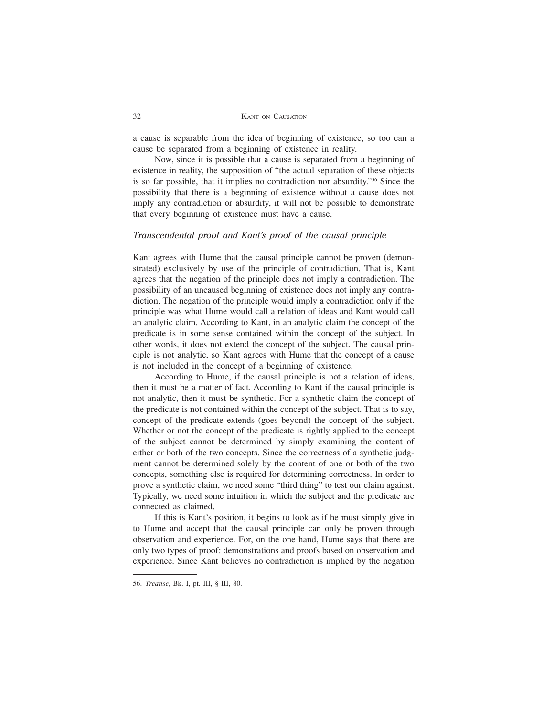a cause is separable from the idea of beginning of existence, so too can a cause be separated from a beginning of existence in reality.

Now, since it is possible that a cause is separated from a beginning of existence in reality, the supposition of "the actual separation of these objects is so far possible, that it implies no contradiction nor absurdity."56 Since the possibility that there is a beginning of existence without a cause does not imply any contradiction or absurdity, it will not be possible to demonstrate that every beginning of existence must have a cause.

## *Transcendental proof and Kant's proof of the causal principle*

Kant agrees with Hume that the causal principle cannot be proven (demonstrated) exclusively by use of the principle of contradiction. That is, Kant agrees that the negation of the principle does not imply a contradiction. The possibility of an uncaused beginning of existence does not imply any contradiction. The negation of the principle would imply a contradiction only if the principle was what Hume would call a relation of ideas and Kant would call an analytic claim. According to Kant, in an analytic claim the concept of the predicate is in some sense contained within the concept of the subject. In other words, it does not extend the concept of the subject. The causal principle is not analytic, so Kant agrees with Hume that the concept of a cause is not included in the concept of a beginning of existence.

According to Hume, if the causal principle is not a relation of ideas, then it must be a matter of fact. According to Kant if the causal principle is not analytic, then it must be synthetic. For a synthetic claim the concept of the predicate is not contained within the concept of the subject. That is to say, concept of the predicate extends (goes beyond) the concept of the subject. Whether or not the concept of the predicate is rightly applied to the concept of the subject cannot be determined by simply examining the content of either or both of the two concepts. Since the correctness of a synthetic judgment cannot be determined solely by the content of one or both of the two concepts, something else is required for determining correctness. In order to prove a synthetic claim, we need some "third thing" to test our claim against. Typically, we need some intuition in which the subject and the predicate are connected as claimed.

If this is Kant's position, it begins to look as if he must simply give in to Hume and accept that the causal principle can only be proven through observation and experience. For, on the one hand, Hume says that there are only two types of proof: demonstrations and proofs based on observation and experience. Since Kant believes no contradiction is implied by the negation

<sup>56.</sup> *Treatise,* Bk. I, pt. III, § III, 80.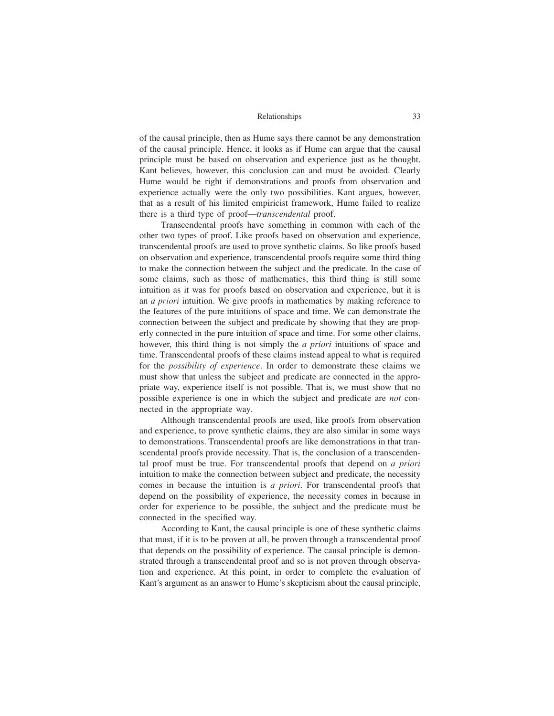of the causal principle, then as Hume says there cannot be any demonstration of the causal principle. Hence, it looks as if Hume can argue that the causal principle must be based on observation and experience just as he thought. Kant believes, however, this conclusion can and must be avoided. Clearly Hume would be right if demonstrations and proofs from observation and experience actually were the only two possibilities. Kant argues, however, that as a result of his limited empiricist framework, Hume failed to realize there is a third type of proof—*transcendental* proof.

Transcendental proofs have something in common with each of the other two types of proof. Like proofs based on observation and experience, transcendental proofs are used to prove synthetic claims. So like proofs based on observation and experience, transcendental proofs require some third thing to make the connection between the subject and the predicate. In the case of some claims, such as those of mathematics, this third thing is still some intuition as it was for proofs based on observation and experience, but it is an *a priori* intuition. We give proofs in mathematics by making reference to the features of the pure intuitions of space and time. We can demonstrate the connection between the subject and predicate by showing that they are properly connected in the pure intuition of space and time. For some other claims, however, this third thing is not simply the *a priori* intuitions of space and time. Transcendental proofs of these claims instead appeal to what is required for the *possibility of experience*. In order to demonstrate these claims we must show that unless the subject and predicate are connected in the appropriate way, experience itself is not possible. That is, we must show that no possible experience is one in which the subject and predicate are *not* connected in the appropriate way.

Although transcendental proofs are used, like proofs from observation and experience, to prove synthetic claims, they are also similar in some ways to demonstrations. Transcendental proofs are like demonstrations in that transcendental proofs provide necessity. That is, the conclusion of a transcendental proof must be true. For transcendental proofs that depend on *a priori* intuition to make the connection between subject and predicate, the necessity comes in because the intuition is *a priori*. For transcendental proofs that depend on the possibility of experience, the necessity comes in because in order for experience to be possible, the subject and the predicate must be connected in the specified way.

According to Kant, the causal principle is one of these synthetic claims that must, if it is to be proven at all, be proven through a transcendental proof that depends on the possibility of experience. The causal principle is demonstrated through a transcendental proof and so is not proven through observation and experience. At this point, in order to complete the evaluation of Kant's argument as an answer to Hume's skepticism about the causal principle,